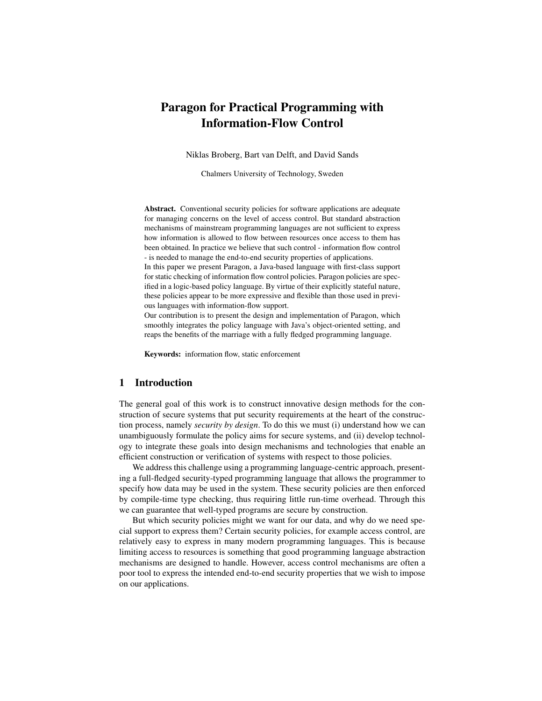# Paragon for Practical Programming with Information-Flow Control

Niklas Broberg, Bart van Delft, and David Sands

Chalmers University of Technology, Sweden

Abstract. Conventional security policies for software applications are adequate for managing concerns on the level of access control. But standard abstraction mechanisms of mainstream programming languages are not sufficient to express how information is allowed to flow between resources once access to them has been obtained. In practice we believe that such control - information flow control - is needed to manage the end-to-end security properties of applications.

In this paper we present Paragon, a Java-based language with first-class support for static checking of information flow control policies. Paragon policies are specified in a logic-based policy language. By virtue of their explicitly stateful nature, these policies appear to be more expressive and flexible than those used in previous languages with information-flow support.

Our contribution is to present the design and implementation of Paragon, which smoothly integrates the policy language with Java's object-oriented setting, and reaps the benefits of the marriage with a fully fledged programming language.

Keywords: information flow, static enforcement

# 1 Introduction

The general goal of this work is to construct innovative design methods for the construction of secure systems that put security requirements at the heart of the construction process, namely *security by design*. To do this we must (i) understand how we can unambiguously formulate the policy aims for secure systems, and (ii) develop technology to integrate these goals into design mechanisms and technologies that enable an efficient construction or verification of systems with respect to those policies.

We address this challenge using a programming language-centric approach, presenting a full-fledged security-typed programming language that allows the programmer to specify how data may be used in the system. These security policies are then enforced by compile-time type checking, thus requiring little run-time overhead. Through this we can guarantee that well-typed programs are secure by construction.

But which security policies might we want for our data, and why do we need special support to express them? Certain security policies, for example access control, are relatively easy to express in many modern programming languages. This is because limiting access to resources is something that good programming language abstraction mechanisms are designed to handle. However, access control mechanisms are often a poor tool to express the intended end-to-end security properties that we wish to impose on our applications.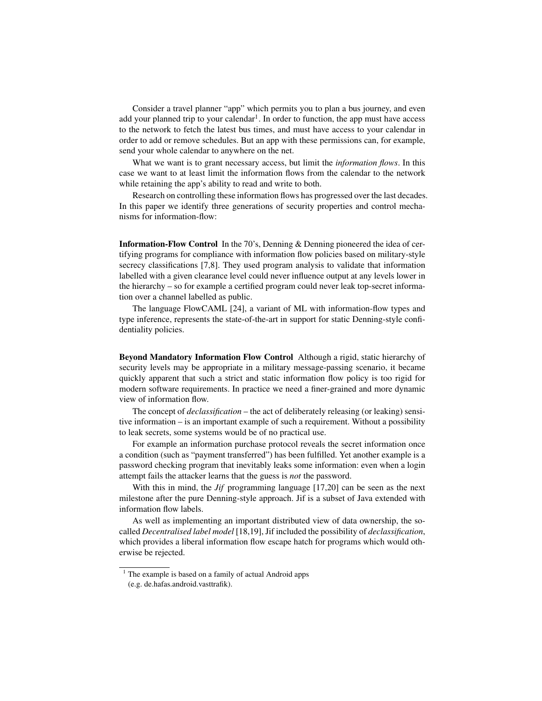Consider a travel planner "app" which permits you to plan a bus journey, and even add your planned trip to your calendar<sup>[1](#page-1-0)</sup>. In order to function, the app must have access to the network to fetch the latest bus times, and must have access to your calendar in order to add or remove schedules. But an app with these permissions can, for example, send your whole calendar to anywhere on the net.

What we want is to grant necessary access, but limit the *information flows*. In this case we want to at least limit the information flows from the calendar to the network while retaining the app's ability to read and write to both.

Research on controlling these information flows has progressed over the last decades. In this paper we identify three generations of security properties and control mechanisms for information-flow:

Information-Flow Control In the 70's, Denning & Denning pioneered the idea of certifying programs for compliance with information flow policies based on military-style secrecy classifications [\[7](#page-14-0)[,8\]](#page-14-1). They used program analysis to validate that information labelled with a given clearance level could never influence output at any levels lower in the hierarchy – so for example a certified program could never leak top-secret information over a channel labelled as public.

The language FlowCAML [\[24\]](#page-15-0), a variant of ML with information-flow types and type inference, represents the state-of-the-art in support for static Denning-style confidentiality policies.

Beyond Mandatory Information Flow Control Although a rigid, static hierarchy of security levels may be appropriate in a military message-passing scenario, it became quickly apparent that such a strict and static information flow policy is too rigid for modern software requirements. In practice we need a finer-grained and more dynamic view of information flow.

The concept of *declassification* – the act of deliberately releasing (or leaking) sensitive information – is an important example of such a requirement. Without a possibility to leak secrets, some systems would be of no practical use.

For example an information purchase protocol reveals the secret information once a condition (such as "payment transferred") has been fulfilled. Yet another example is a password checking program that inevitably leaks some information: even when a login attempt fails the attacker learns that the guess is *not* the password.

With this in mind, the *Jif* programming language [\[17,](#page-15-1)[20\]](#page-15-2) can be seen as the next milestone after the pure Denning-style approach. Jif is a subset of Java extended with information flow labels.

As well as implementing an important distributed view of data ownership, the socalled *Decentralised label model* [\[18,](#page-15-3)[19\]](#page-15-4), Jif included the possibility of *declassification*, which provides a liberal information flow escape hatch for programs which would otherwise be rejected.

<span id="page-1-0"></span> $1$  The example is based on a family of actual Android apps (e.g. de.hafas.android.vasttrafik).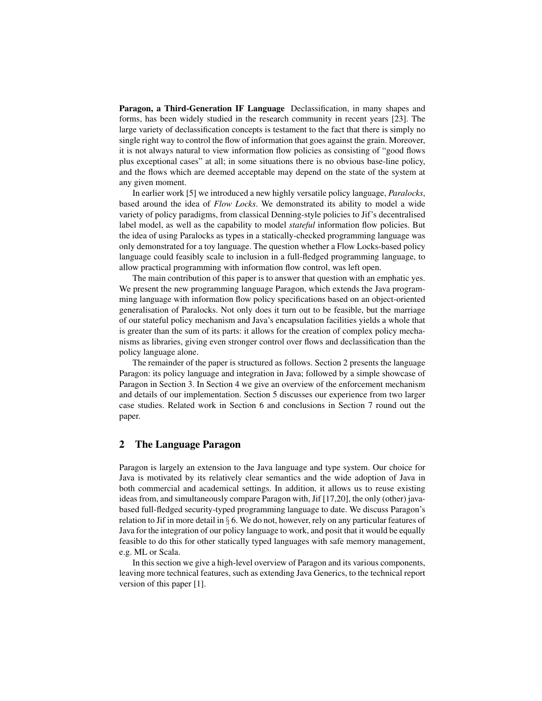Paragon, a Third-Generation IF Language Declassification, in many shapes and forms, has been widely studied in the research community in recent years [\[23\]](#page-15-5). The large variety of declassification concepts is testament to the fact that there is simply no single right way to control the flow of information that goes against the grain. Moreover, it is not always natural to view information flow policies as consisting of "good flows plus exceptional cases" at all; in some situations there is no obvious base-line policy, and the flows which are deemed acceptable may depend on the state of the system at any given moment.

In earlier work [\[5\]](#page-14-2) we introduced a new highly versatile policy language, *Paralocks*, based around the idea of *Flow Locks*. We demonstrated its ability to model a wide variety of policy paradigms, from classical Denning-style policies to Jif's decentralised label model, as well as the capability to model *stateful* information flow policies. But the idea of using Paralocks as types in a statically-checked programming language was only demonstrated for a toy language. The question whether a Flow Locks-based policy language could feasibly scale to inclusion in a full-fledged programming language, to allow practical programming with information flow control, was left open.

The main contribution of this paper is to answer that question with an emphatic yes. We present the new programming language Paragon, which extends the Java programming language with information flow policy specifications based on an object-oriented generalisation of Paralocks. Not only does it turn out to be feasible, but the marriage of our stateful policy mechanism and Java's encapsulation facilities yields a whole that is greater than the sum of its parts: it allows for the creation of complex policy mechanisms as libraries, giving even stronger control over flows and declassification than the policy language alone.

The remainder of the paper is structured as follows. Section [2](#page-2-0) presents the language Paragon: its policy language and integration in Java; followed by a simple showcase of Paragon in Section [3.](#page-6-0) In Section [4](#page-8-0) we give an overview of the enforcement mechanism and details of our implementation. Section [5](#page-10-0) discusses our experience from two larger case studies. Related work in Section [6](#page-12-0) and conclusions in Section [7](#page-13-0) round out the paper.

# <span id="page-2-0"></span>2 The Language Paragon

Paragon is largely an extension to the Java language and type system. Our choice for Java is motivated by its relatively clear semantics and the wide adoption of Java in both commercial and academical settings. In addition, it allows us to reuse existing ideas from, and simultaneously compare Paragon with, Jif [\[17](#page-15-1)[,20\]](#page-15-2), the only (other) javabased full-fledged security-typed programming language to date. We discuss Paragon's relation to Jif in more detail in  $\S 6$ . We do not, however, rely on any particular features of Java for the integration of our policy language to work, and posit that it would be equally feasible to do this for other statically typed languages with safe memory management, e.g. ML or Scala.

In this section we give a high-level overview of Paragon and its various components, leaving more technical features, such as extending Java Generics, to the technical report version of this paper [\[1\]](#page-14-3).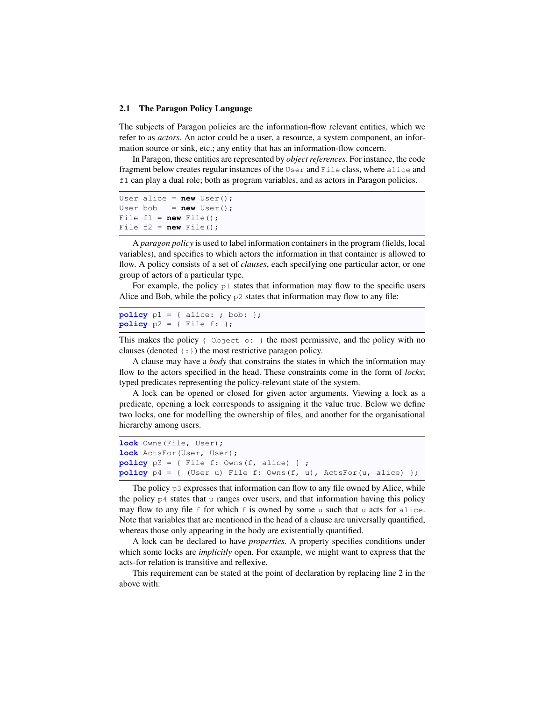#### 2.1 The Paragon Policy Language

The subjects of Paragon policies are the information-flow relevant entities, which we refer to as *actors*. An actor could be a user, a resource, a system component, an information source or sink, etc.; any entity that has an information-flow concern.

In Paragon, these entities are represented by *object references*. For instance, the code fragment below creates regular instances of the User and File class, where alice and f1 can play a dual role; both as program variables, and as actors in Paragon policies.

```
User alice = new User();
User bob = new User();
File f1 = new File();
File f2 = new File();
```
A *paragon policy* is used to label information containers in the program (fields, local variables), and specifies to which actors the information in that container is allowed to flow. A policy consists of a set of *clauses*, each specifying one particular actor, or one group of actors of a particular type.

For example, the policy p1 states that information may flow to the specific users Alice and Bob, while the policy  $p^2$  states that information may flow to any file:

```
policy p1 = \{ alice: ; bob: };
policy p2 = { File f: };
```
This makes the policy  $\{ \circ \phi \}$  object o:  $\}$  the most permissive, and the policy with no clauses (denoted {:}) the most restrictive paragon policy.

A clause may have a *body* that constrains the states in which the information may flow to the actors specified in the head. These constraints come in the form of *locks*; typed predicates representing the policy-relevant state of the system.

A lock can be opened or closed for given actor arguments. Viewing a lock as a predicate, opening a lock corresponds to assigning it the value true. Below we define two locks, one for modelling the ownership of files, and another for the organisational hierarchy among users.

```
lock Owns(File, User);
lock ActsFor(User, User);
policy p3 = { File f: Owns(f, alice) } ;
policy p4 = { (User u) File f: Owns(f, u), ActsFor(u, alice) };
```
The policy  $p_3$  expresses that information can flow to any file owned by Alice, while the policy  $p4$  states that u ranges over users, and that information having this policy may flow to any file  $f$  for which  $f$  is owned by some u such that u acts for alice. Note that variables that are mentioned in the head of a clause are universally quantified, whereas those only appearing in the body are existentially quantified.

A lock can be declared to have *properties*. A property specifies conditions under which some locks are *implicitly* open. For example, we might want to express that the acts-for relation is transitive and reflexive.

This requirement can be stated at the point of declaration by replacing line 2 in the above with: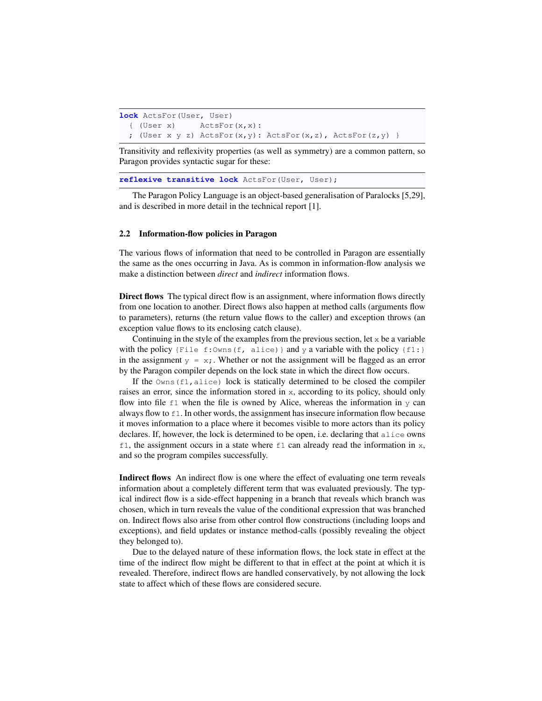```
lock ActsFor(User, User)
  \{ (User x)  ActsFor(x, x):
  ; (User x y z) ActsFor(x, y): ActsFor(x, z), ActsFor(z, y) }
```
Transitivity and reflexivity properties (as well as symmetry) are a common pattern, so Paragon provides syntactic sugar for these:

```
reflexive transitive lock ActsFor(User, User);
```
The Paragon Policy Language is an object-based generalisation of Paralocks [\[5](#page-14-2)[,29\]](#page-15-6), and is described in more detail in the technical report [\[1\]](#page-14-3).

#### <span id="page-4-0"></span>2.2 Information-flow policies in Paragon

The various flows of information that need to be controlled in Paragon are essentially the same as the ones occurring in Java. As is common in information-flow analysis we make a distinction between *direct* and *indirect* information flows.

Direct flows The typical direct flow is an assignment, where information flows directly from one location to another. Direct flows also happen at method calls (arguments flow to parameters), returns (the return value flows to the caller) and exception throws (an exception value flows to its enclosing catch clause).

Continuing in the style of the examples from the previous section, let  $x$  be a variable with the policy {File f: Owns (f, alice) } and y a variable with the policy {f1:} in the assignment  $y = x$ ; Whether or not the assignment will be flagged as an error by the Paragon compiler depends on the lock state in which the direct flow occurs.

If the Owns(f1,alice) lock is statically determined to be closed the compiler raises an error, since the information stored in  $x$ , according to its policy, should only flow into file  $f1$  when the file is owned by Alice, whereas the information in  $y$  can always flow to f1. In other words, the assignment has insecure information flow because it moves information to a place where it becomes visible to more actors than its policy declares. If, however, the lock is determined to be open, i.e. declaring that alice owns  $f1$ , the assignment occurs in a state where  $f1$  can already read the information in x, and so the program compiles successfully.

Indirect flows An indirect flow is one where the effect of evaluating one term reveals information about a completely different term that was evaluated previously. The typical indirect flow is a side-effect happening in a branch that reveals which branch was chosen, which in turn reveals the value of the conditional expression that was branched on. Indirect flows also arise from other control flow constructions (including loops and exceptions), and field updates or instance method-calls (possibly revealing the object they belonged to).

Due to the delayed nature of these information flows, the lock state in effect at the time of the indirect flow might be different to that in effect at the point at which it is revealed. Therefore, indirect flows are handled conservatively, by not allowing the lock state to affect which of these flows are considered secure.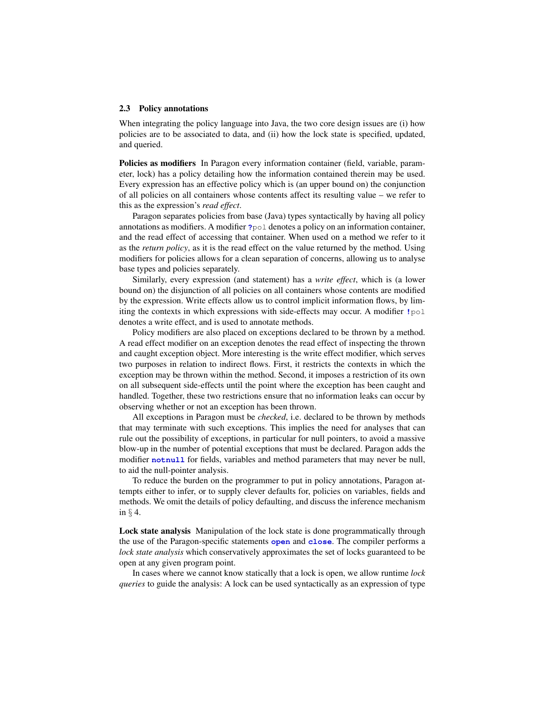#### 2.3 Policy annotations

When integrating the policy language into Java, the two core design issues are (i) how policies are to be associated to data, and (ii) how the lock state is specified, updated, and queried.

Policies as modifiers In Paragon every information container (field, variable, parameter, lock) has a policy detailing how the information contained therein may be used. Every expression has an effective policy which is (an upper bound on) the conjunction of all policies on all containers whose contents affect its resulting value – we refer to this as the expression's *read effect*.

Paragon separates policies from base (Java) types syntactically by having all policy annotations as modifiers. A modifier **?**pol denotes a policy on an information container, and the read effect of accessing that container. When used on a method we refer to it as the *return policy*, as it is the read effect on the value returned by the method. Using modifiers for policies allows for a clean separation of concerns, allowing us to analyse base types and policies separately.

Similarly, every expression (and statement) has a *write effect*, which is (a lower bound on) the disjunction of all policies on all containers whose contents are modified by the expression. Write effects allow us to control implicit information flows, by limiting the contexts in which expressions with side-effects may occur. A modifier **!**pol denotes a write effect, and is used to annotate methods.

Policy modifiers are also placed on exceptions declared to be thrown by a method. A read effect modifier on an exception denotes the read effect of inspecting the thrown and caught exception object. More interesting is the write effect modifier, which serves two purposes in relation to indirect flows. First, it restricts the contexts in which the exception may be thrown within the method. Second, it imposes a restriction of its own on all subsequent side-effects until the point where the exception has been caught and handled. Together, these two restrictions ensure that no information leaks can occur by observing whether or not an exception has been thrown.

All exceptions in Paragon must be *checked*, i.e. declared to be thrown by methods that may terminate with such exceptions. This implies the need for analyses that can rule out the possibility of exceptions, in particular for null pointers, to avoid a massive blow-up in the number of potential exceptions that must be declared. Paragon adds the modifier **notatill** for fields, variables and method parameters that may never be null, to aid the null-pointer analysis.

To reduce the burden on the programmer to put in policy annotations, Paragon attempts either to infer, or to supply clever defaults for, policies on variables, fields and methods. We omit the details of policy defaulting, and discuss the inference mechanism in § [4.](#page-8-0)

Lock state analysis Manipulation of the lock state is done programmatically through the use of the Paragon-specific statements **open** and **close**. The compiler performs a *lock state analysis* which conservatively approximates the set of locks guaranteed to be open at any given program point.

In cases where we cannot know statically that a lock is open, we allow runtime *lock queries* to guide the analysis: A lock can be used syntactically as an expression of type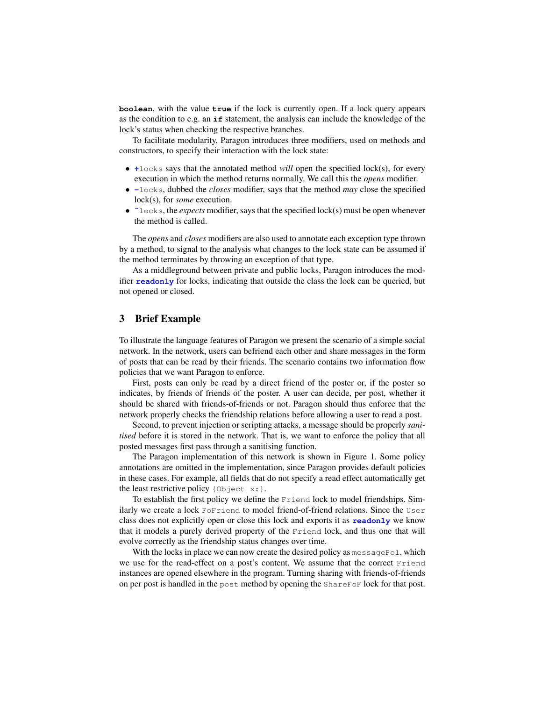**boolean**, with the value **true** if the lock is currently open. If a lock query appears as the condition to e.g. an **if** statement, the analysis can include the knowledge of the lock's status when checking the respective branches.

To facilitate modularity, Paragon introduces three modifiers, used on methods and constructors, to specify their interaction with the lock state:

- **+**locks says that the annotated method *will* open the specified lock(s), for every execution in which the method returns normally. We call this the *opens* modifier.
- **-**locks, dubbed the *closes* modifier, says that the method *may* close the specified lock(s), for *some* execution.
- **˜**locks, the *expects* modifier, says that the specified lock(s) must be open whenever the method is called.

The *opens* and *closes* modifiers are also used to annotate each exception type thrown by a method, to signal to the analysis what changes to the lock state can be assumed if the method terminates by throwing an exception of that type.

As a middleground between private and public locks, Paragon introduces the modifier **readonly** for locks, indicating that outside the class the lock can be queried, but not opened or closed.

# <span id="page-6-0"></span>3 Brief Example

To illustrate the language features of Paragon we present the scenario of a simple social network. In the network, users can befriend each other and share messages in the form of posts that can be read by their friends. The scenario contains two information flow policies that we want Paragon to enforce.

First, posts can only be read by a direct friend of the poster or, if the poster so indicates, by friends of friends of the poster. A user can decide, per post, whether it should be shared with friends-of-friends or not. Paragon should thus enforce that the network properly checks the friendship relations before allowing a user to read a post.

Second, to prevent injection or scripting attacks, a message should be properly *sanitised* before it is stored in the network. That is, we want to enforce the policy that all posted messages first pass through a sanitising function.

The Paragon implementation of this network is shown in Figure [1.](#page-7-0) Some policy annotations are omitted in the implementation, since Paragon provides default policies in these cases. For example, all fields that do not specify a read effect automatically get the least restrictive policy  $\{Ob\, \text{ject } x:\}$ .

To establish the first policy we define the Friend lock to model friendships. Similarly we create a lock FoFriend to model friend-of-friend relations. Since the User class does not explicitly open or close this lock and exports it as **readonly** we know that it models a purely derived property of the Friend lock, and thus one that will evolve correctly as the friendship status changes over time.

With the locks in place we can now create the desired policy as messagePol, which we use for the read-effect on a post's content. We assume that the correct Friend instances are opened elsewhere in the program. Turning sharing with friends-of-friends on per post is handled in the post method by opening the ShareFoF lock for that post.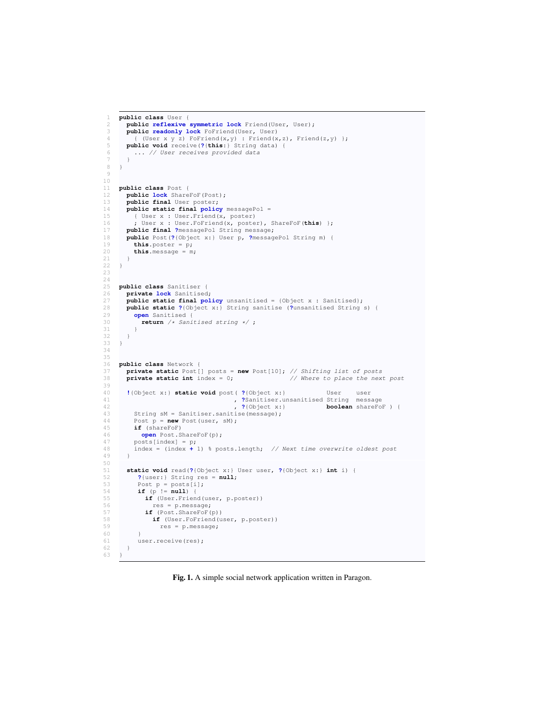```
1 public class User {
 2 public reflexive symmetric lock Friend(User, User);
 3 public readonly lock FoFriend(User, User)
 4 { (User x y z) FoFriend(x,y) : Friend(x,z), Friend(z,y) };<br>5 public void receive(2(this: String data) {
       5 public void receive(?{this:} String data) {
 6 ... // User receives provided data
 7 }
 8 }
 9
\begin{array}{c} 10 \\ 11 \end{array}public class Post {
12 public lock ShareFoF(Post);
13 public final User poster;
14 public static final policy messagePol =
15 { User x : User.Friend(x, poster)
16 ; User x : User.FoFriend(x, poster), ShareFoF(this) };
17 public final ?messagePol String message;<br>18 public Post (240biect x:) User p ?messag
      18 public Post(?{Object x:} User p, ?messagePol String m) {
19 this.poster = p;
20 this. message = m;
21 }
22 }
23
24
25 public class Sanitiser {
26 private lock Sanitised;<br>27 public static final pol
       public static final policy unsanitised = {Object x : Sanitised};
28 public static ?<sup>{Object x:} String sanitise (?unsanitised String s) {<br>29 ppp Sanitised {</sup>
29 open Sanitised {<br>30 return /* Sani
         return /* Sanitised string */ ;
31 }
    \rightarrow33 }
34
35
36 public class Network {
37 private static Post[10] posts = new Post[10]; // Shifting list of posts<br>38 private static int index = 0; // Where to place the nex
                                                            // Where to place the next post
39
40 !{Object x:} static void post( ?{Object x:} User user
                                         41 , ?Sanitiser.unsanitised String message
42 boolean shareFoF ) {<br>43 boolean shareFoF ) {<br>43 boolean shareFoF ) {
        String sM = Sanitiser.sanitise(message);
44 Post p = <b>new Post (user, sM);<br>45 if (shareFoF)
45 if (shareFoF)<br>46 open Post.S
46 open Post.ShareFoF(p);<br>47 posts[index] = p;
47 posts[index] = p;
48 index = (index + 1) % posts.length; // Next time overwrite oldest post
49 }
50
       51 static void read(?{Object x:} User user, ?{Object x:} int i) {
52 ?{user:} String res = null;
53 Post p = posts[i];<br>54 if (p != null) {
54 if (p != null) {<br>55 if (User.Friend(user, p.poster))
56 res = p.message;<br>57 if (Post.ShareFoF()
57 if (Post.ShareFoF(p))<br>58 if (User.FoFriend(u
58 if (User.FoFriend(user, p.poster))<br>59 res = p.message;
                  res = p \cdot message;\begin{matrix} 60 & 1 \\ 61 & 1 \end{matrix}user.receive(res):
62 }
63 }
```
<span id="page-7-0"></span>Fig. 1. A simple social network application written in Paragon.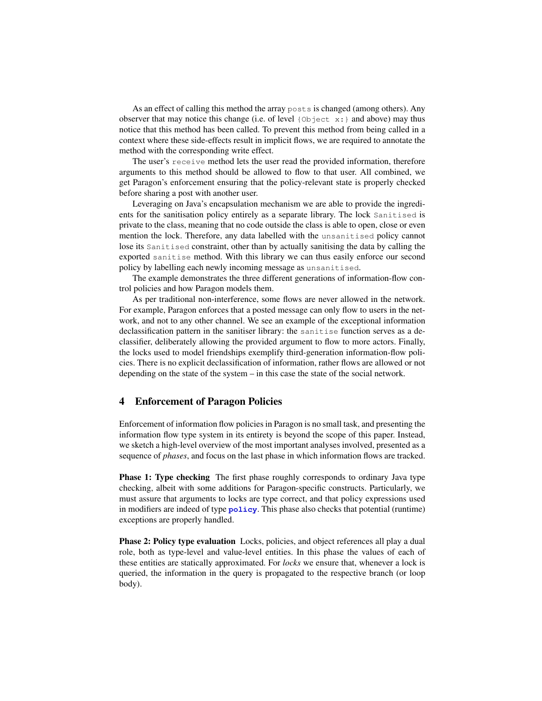As an effect of calling this method the array posts is changed (among others). Any observer that may notice this change (i.e. of level { $Object x:$ } and above) may thus notice that this method has been called. To prevent this method from being called in a context where these side-effects result in implicit flows, we are required to annotate the method with the corresponding write effect.

The user's receive method lets the user read the provided information, therefore arguments to this method should be allowed to flow to that user. All combined, we get Paragon's enforcement ensuring that the policy-relevant state is properly checked before sharing a post with another user.

Leveraging on Java's encapsulation mechanism we are able to provide the ingredients for the sanitisation policy entirely as a separate library. The lock Sanitised is private to the class, meaning that no code outside the class is able to open, close or even mention the lock. Therefore, any data labelled with the unsanitised policy cannot lose its Sanitised constraint, other than by actually sanitising the data by calling the exported sanitise method. With this library we can thus easily enforce our second policy by labelling each newly incoming message as unsanitised.

The example demonstrates the three different generations of information-flow control policies and how Paragon models them.

As per traditional non-interference, some flows are never allowed in the network. For example, Paragon enforces that a posted message can only flow to users in the network, and not to any other channel. We see an example of the exceptional information declassification pattern in the sanitiser library: the sanitise function serves as a declassifier, deliberately allowing the provided argument to flow to more actors. Finally, the locks used to model friendships exemplify third-generation information-flow policies. There is no explicit declassification of information, rather flows are allowed or not depending on the state of the system – in this case the state of the social network.

# <span id="page-8-0"></span>4 Enforcement of Paragon Policies

Enforcement of information flow policies in Paragon is no small task, and presenting the information flow type system in its entirety is beyond the scope of this paper. Instead, we sketch a high-level overview of the most important analyses involved, presented as a sequence of *phases*, and focus on the last phase in which information flows are tracked.

Phase 1: Type checking The first phase roughly corresponds to ordinary Java type checking, albeit with some additions for Paragon-specific constructs. Particularly, we must assure that arguments to locks are type correct, and that policy expressions used in modifiers are indeed of type **policy**. This phase also checks that potential (runtime) exceptions are properly handled.

**Phase 2: Policy type evaluation** Locks, policies, and object references all play a dual role, both as type-level and value-level entities. In this phase the values of each of these entities are statically approximated. For *locks* we ensure that, whenever a lock is queried, the information in the query is propagated to the respective branch (or loop body).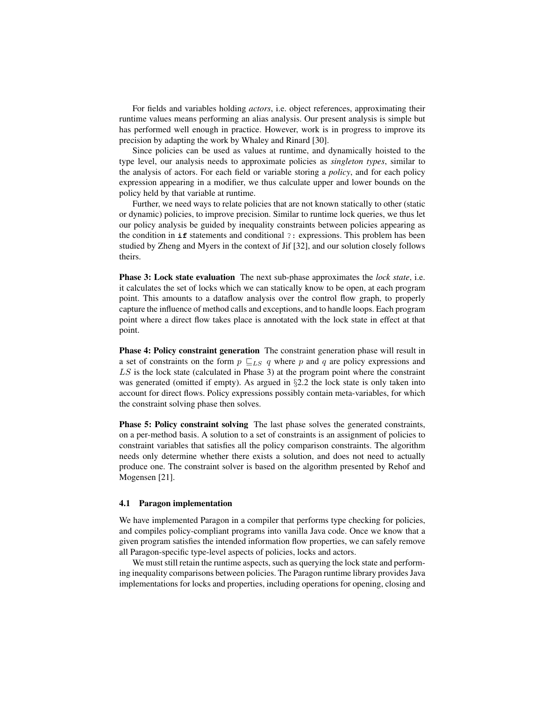For fields and variables holding *actors*, i.e. object references, approximating their runtime values means performing an alias analysis. Our present analysis is simple but has performed well enough in practice. However, work is in progress to improve its precision by adapting the work by Whaley and Rinard [\[30\]](#page-15-7).

Since policies can be used as values at runtime, and dynamically hoisted to the type level, our analysis needs to approximate policies as *singleton types*, similar to the analysis of actors. For each field or variable storing a *policy*, and for each policy expression appearing in a modifier, we thus calculate upper and lower bounds on the policy held by that variable at runtime.

Further, we need ways to relate policies that are not known statically to other (static or dynamic) policies, to improve precision. Similar to runtime lock queries, we thus let our policy analysis be guided by inequality constraints between policies appearing as the condition in **if** statements and conditional ?: expressions. This problem has been studied by Zheng and Myers in the context of Jif [\[32\]](#page-15-8), and our solution closely follows theirs.

Phase 3: Lock state evaluation The next sub-phase approximates the *lock state*, i.e. it calculates the set of locks which we can statically know to be open, at each program point. This amounts to a dataflow analysis over the control flow graph, to properly capture the influence of method calls and exceptions, and to handle loops. Each program point where a direct flow takes place is annotated with the lock state in effect at that point.

Phase 4: Policy constraint generation The constraint generation phase will result in a set of constraints on the form  $p \nightharpoonup_{LS} q$  where p and q are policy expressions and LS is the lock state (calculated in Phase 3) at the program point where the constraint was generated (omitted if empty). As argued in  $\S2.2$  $\S2.2$  the lock state is only taken into account for direct flows. Policy expressions possibly contain meta-variables, for which the constraint solving phase then solves.

Phase 5: Policy constraint solving The last phase solves the generated constraints, on a per-method basis. A solution to a set of constraints is an assignment of policies to constraint variables that satisfies all the policy comparison constraints. The algorithm needs only determine whether there exists a solution, and does not need to actually produce one. The constraint solver is based on the algorithm presented by Rehof and Mogensen [\[21\]](#page-15-9).

#### 4.1 Paragon implementation

We have implemented Paragon in a compiler that performs type checking for policies, and compiles policy-compliant programs into vanilla Java code. Once we know that a given program satisfies the intended information flow properties, we can safely remove all Paragon-specific type-level aspects of policies, locks and actors.

We must still retain the runtime aspects, such as querying the lock state and performing inequality comparisons between policies. The Paragon runtime library provides Java implementations for locks and properties, including operations for opening, closing and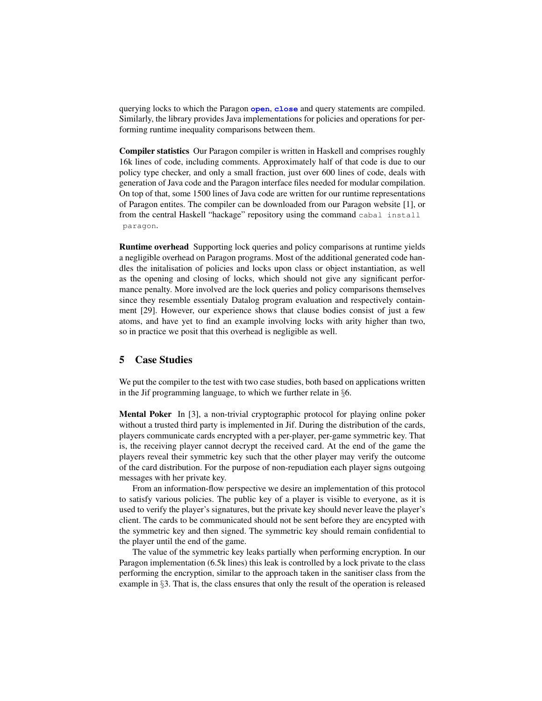querying locks to which the Paragon **open**, **close** and query statements are compiled. Similarly, the library provides Java implementations for policies and operations for performing runtime inequality comparisons between them.

Compiler statistics Our Paragon compiler is written in Haskell and comprises roughly 16k lines of code, including comments. Approximately half of that code is due to our policy type checker, and only a small fraction, just over 600 lines of code, deals with generation of Java code and the Paragon interface files needed for modular compilation. On top of that, some 1500 lines of Java code are written for our runtime representations of Paragon entites. The compiler can be downloaded from our Paragon website [\[1\]](#page-14-3), or from the central Haskell "hackage" repository using the command cabal install paragon.

Runtime overhead Supporting lock queries and policy comparisons at runtime yields a negligible overhead on Paragon programs. Most of the additional generated code handles the initalisation of policies and locks upon class or object instantiation, as well as the opening and closing of locks, which should not give any significant performance penalty. More involved are the lock queries and policy comparisons themselves since they resemble essentialy Datalog program evaluation and respectively containment [\[29\]](#page-15-6). However, our experience shows that clause bodies consist of just a few atoms, and have yet to find an example involving locks with arity higher than two, so in practice we posit that this overhead is negligible as well.

# <span id="page-10-0"></span>5 Case Studies

We put the compiler to the test with two case studies, both based on applications written in the Jif programming language, to which we further relate in §[6.](#page-12-0)

Mental Poker In [\[3\]](#page-14-4), a non-trivial cryptographic protocol for playing online poker without a trusted third party is implemented in Jif. During the distribution of the cards, players communicate cards encrypted with a per-player, per-game symmetric key. That is, the receiving player cannot decrypt the received card. At the end of the game the players reveal their symmetric key such that the other player may verify the outcome of the card distribution. For the purpose of non-repudiation each player signs outgoing messages with her private key.

From an information-flow perspective we desire an implementation of this protocol to satisfy various policies. The public key of a player is visible to everyone, as it is used to verify the player's signatures, but the private key should never leave the player's client. The cards to be communicated should not be sent before they are encypted with the symmetric key and then signed. The symmetric key should remain confidential to the player until the end of the game.

The value of the symmetric key leaks partially when performing encryption. In our Paragon implementation (6.5k lines) this leak is controlled by a lock private to the class performing the encryption, similar to the approach taken in the sanitiser class from the example in §[3.](#page-6-0) That is, the class ensures that only the result of the operation is released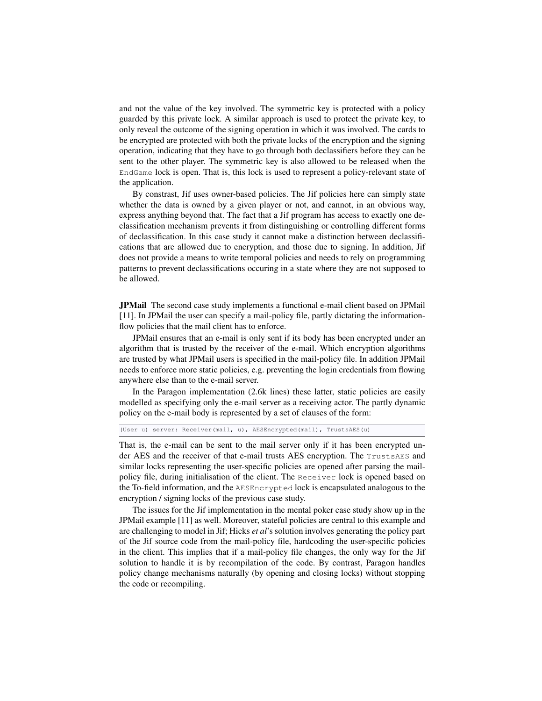and not the value of the key involved. The symmetric key is protected with a policy guarded by this private lock. A similar approach is used to protect the private key, to only reveal the outcome of the signing operation in which it was involved. The cards to be encrypted are protected with both the private locks of the encryption and the signing operation, indicating that they have to go through both declassifiers before they can be sent to the other player. The symmetric key is also allowed to be released when the EndGame lock is open. That is, this lock is used to represent a policy-relevant state of the application.

By constrast, Jif uses owner-based policies. The Jif policies here can simply state whether the data is owned by a given player or not, and cannot, in an obvious way, express anything beyond that. The fact that a Jif program has access to exactly one declassification mechanism prevents it from distinguishing or controlling different forms of declassification. In this case study it cannot make a distinction between declassifications that are allowed due to encryption, and those due to signing. In addition, Jif does not provide a means to write temporal policies and needs to rely on programming patterns to prevent declassifications occuring in a state where they are not supposed to be allowed.

JPMail The second case study implements a functional e-mail client based on JPMail [\[11\]](#page-14-5). In JPMail the user can specify a mail-policy file, partly dictating the informationflow policies that the mail client has to enforce.

JPMail ensures that an e-mail is only sent if its body has been encrypted under an algorithm that is trusted by the receiver of the e-mail. Which encryption algorithms are trusted by what JPMail users is specified in the mail-policy file. In addition JPMail needs to enforce more static policies, e.g. preventing the login credentials from flowing anywhere else than to the e-mail server.

In the Paragon implementation (2.6k lines) these latter, static policies are easily modelled as specifying only the e-mail server as a receiving actor. The partly dynamic policy on the e-mail body is represented by a set of clauses of the form:

(User u) server: Receiver(mail, u), AESEncrypted(mail), TrustsAES(u)

That is, the e-mail can be sent to the mail server only if it has been encrypted under AES and the receiver of that e-mail trusts AES encryption. The TrustsAES and similar locks representing the user-specific policies are opened after parsing the mailpolicy file, during initialisation of the client. The Receiver lock is opened based on the To-field information, and the AESEncrypted lock is encapsulated analogous to the encryption / signing locks of the previous case study.

The issues for the Jif implementation in the mental poker case study show up in the JPMail example [\[11\]](#page-14-5) as well. Moreover, stateful policies are central to this example and are challenging to model in Jif; Hicks *et al*'s solution involves generating the policy part of the Jif source code from the mail-policy file, hardcoding the user-specific policies in the client. This implies that if a mail-policy file changes, the only way for the Jif solution to handle it is by recompilation of the code. By contrast, Paragon handles policy change mechanisms naturally (by opening and closing locks) without stopping the code or recompiling.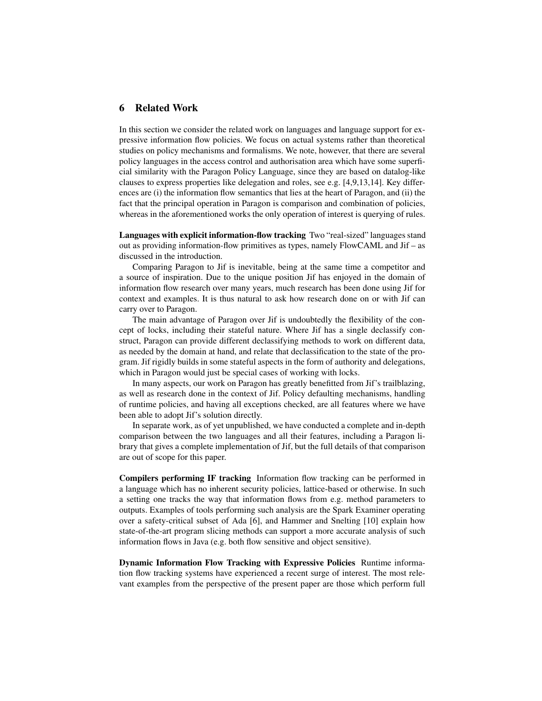# <span id="page-12-0"></span>6 Related Work

In this section we consider the related work on languages and language support for expressive information flow policies. We focus on actual systems rather than theoretical studies on policy mechanisms and formalisms. We note, however, that there are several policy languages in the access control and authorisation area which have some superficial similarity with the Paragon Policy Language, since they are based on datalog-like clauses to express properties like delegation and roles, see e.g. [\[4](#page-14-6)[,9](#page-14-7)[,13,](#page-14-8)[14\]](#page-14-9). Key differences are (i) the information flow semantics that lies at the heart of Paragon, and (ii) the fact that the principal operation in Paragon is comparison and combination of policies, whereas in the aforementioned works the only operation of interest is querying of rules.

Languages with explicit information-flow tracking Two "real-sized" languages stand out as providing information-flow primitives as types, namely FlowCAML and Jif – as discussed in the introduction.

Comparing Paragon to Jif is inevitable, being at the same time a competitor and a source of inspiration. Due to the unique position Jif has enjoyed in the domain of information flow research over many years, much research has been done using Jif for context and examples. It is thus natural to ask how research done on or with Jif can carry over to Paragon.

The main advantage of Paragon over Jif is undoubtedly the flexibility of the concept of locks, including their stateful nature. Where Jif has a single declassify construct, Paragon can provide different declassifying methods to work on different data, as needed by the domain at hand, and relate that declassification to the state of the program. Jif rigidly builds in some stateful aspects in the form of authority and delegations, which in Paragon would just be special cases of working with locks.

In many aspects, our work on Paragon has greatly benefitted from Jif's trailblazing, as well as research done in the context of Jif. Policy defaulting mechanisms, handling of runtime policies, and having all exceptions checked, are all features where we have been able to adopt Jif's solution directly.

In separate work, as of yet unpublished, we have conducted a complete and in-depth comparison between the two languages and all their features, including a Paragon library that gives a complete implementation of Jif, but the full details of that comparison are out of scope for this paper.

Compilers performing IF tracking Information flow tracking can be performed in a language which has no inherent security policies, lattice-based or otherwise. In such a setting one tracks the way that information flows from e.g. method parameters to outputs. Examples of tools performing such analysis are the Spark Examiner operating over a safety-critical subset of Ada [\[6\]](#page-14-10), and Hammer and Snelting [\[10\]](#page-14-11) explain how state-of-the-art program slicing methods can support a more accurate analysis of such information flows in Java (e.g. both flow sensitive and object sensitive).

Dynamic Information Flow Tracking with Expressive Policies Runtime information flow tracking systems have experienced a recent surge of interest. The most relevant examples from the perspective of the present paper are those which perform full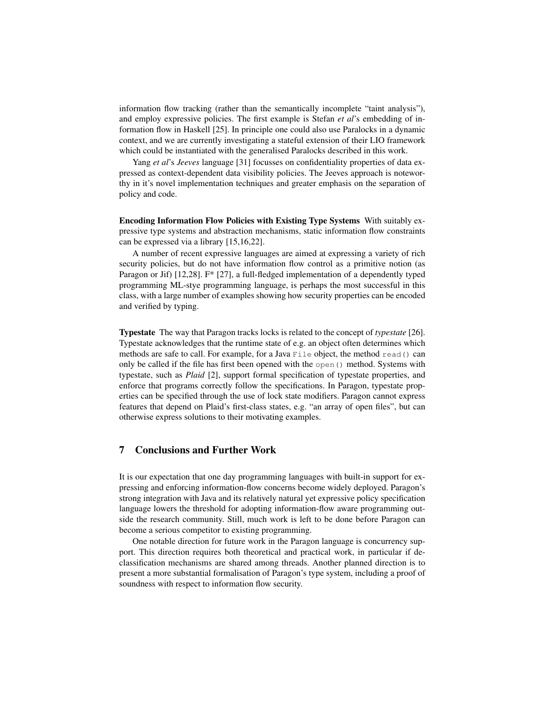information flow tracking (rather than the semantically incomplete "taint analysis"), and employ expressive policies. The first example is Stefan *et al*'s embedding of information flow in Haskell [\[25\]](#page-15-10). In principle one could also use Paralocks in a dynamic context, and we are currently investigating a stateful extension of their LIO framework which could be instantiated with the generalised Paralocks described in this work.

Yang *et al*'s *Jeeves* language [\[31\]](#page-15-11) focusses on confidentiality properties of data expressed as context-dependent data visibility policies. The Jeeves approach is noteworthy in it's novel implementation techniques and greater emphasis on the separation of policy and code.

Encoding Information Flow Policies with Existing Type Systems With suitably expressive type systems and abstraction mechanisms, static information flow constraints can be expressed via a library [\[15,](#page-14-12)[16](#page-14-13)[,22\]](#page-15-12).

A number of recent expressive languages are aimed at expressing a variety of rich security policies, but do not have information flow control as a primitive notion (as Paragon or Jif) [\[12,](#page-14-14)[28\]](#page-15-13). F\* [\[27\]](#page-15-14), a full-fledged implementation of a dependently typed programming ML-stye programming language, is perhaps the most successful in this class, with a large number of examples showing how security properties can be encoded and verified by typing.

Typestate The way that Paragon tracks locks is related to the concept of *typestate* [\[26\]](#page-15-15). Typestate acknowledges that the runtime state of e.g. an object often determines which methods are safe to call. For example, for a Java File object, the method read() can only be called if the file has first been opened with the open() method. Systems with typestate, such as *Plaid* [\[2\]](#page-14-15), support formal specification of typestate properties, and enforce that programs correctly follow the specifications. In Paragon, typestate properties can be specified through the use of lock state modifiers. Paragon cannot express features that depend on Plaid's first-class states, e.g. "an array of open files", but can otherwise express solutions to their motivating examples.

# <span id="page-13-0"></span>7 Conclusions and Further Work

It is our expectation that one day programming languages with built-in support for expressing and enforcing information-flow concerns become widely deployed. Paragon's strong integration with Java and its relatively natural yet expressive policy specification language lowers the threshold for adopting information-flow aware programming outside the research community. Still, much work is left to be done before Paragon can become a serious competitor to existing programming.

One notable direction for future work in the Paragon language is concurrency support. This direction requires both theoretical and practical work, in particular if declassification mechanisms are shared among threads. Another planned direction is to present a more substantial formalisation of Paragon's type system, including a proof of soundness with respect to information flow security.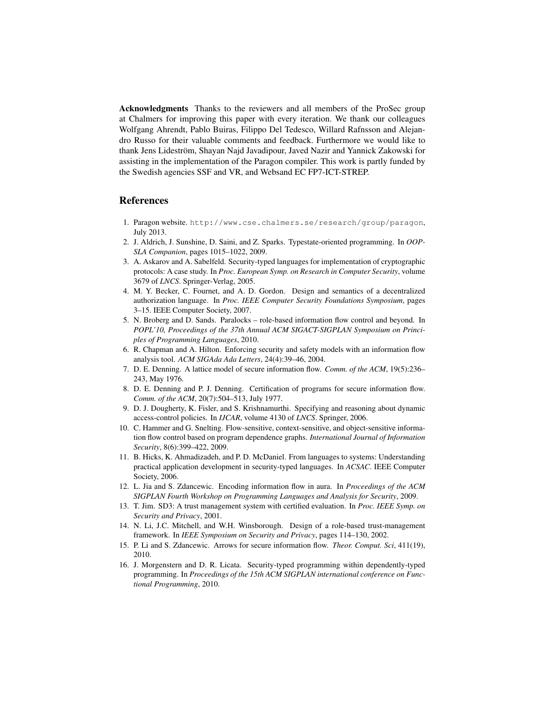Acknowledgments Thanks to the reviewers and all members of the ProSec group at Chalmers for improving this paper with every iteration. We thank our colleagues Wolfgang Ahrendt, Pablo Buiras, Filippo Del Tedesco, Willard Rafnsson and Alejandro Russo for their valuable comments and feedback. Furthermore we would like to thank Jens Lideström, Shayan Najd Javadipour, Javed Nazir and Yannick Zakowski for assisting in the implementation of the Paragon compiler. This work is partly funded by the Swedish agencies SSF and VR, and Websand EC FP7-ICT-STREP.

## References

- <span id="page-14-3"></span>1. Paragon website. http://www.cse.chalmers.se/research/group/paragon, July 2013.
- <span id="page-14-15"></span>2. J. Aldrich, J. Sunshine, D. Saini, and Z. Sparks. Typestate-oriented programming. In *OOP-SLA Companion*, pages 1015–1022, 2009.
- <span id="page-14-4"></span>3. A. Askarov and A. Sabelfeld. Security-typed languages for implementation of cryptographic protocols: A case study. In *Proc. European Symp. on Research in Computer Security*, volume 3679 of *LNCS*. Springer-Verlag, 2005.
- <span id="page-14-6"></span>4. M. Y. Becker, C. Fournet, and A. D. Gordon. Design and semantics of a decentralized authorization language. In *Proc. IEEE Computer Security Foundations Symposium*, pages 3–15. IEEE Computer Society, 2007.
- <span id="page-14-2"></span>5. N. Broberg and D. Sands. Paralocks – role-based information flow control and beyond. In *POPL'10, Proceedings of the 37th Annual ACM SIGACT-SIGPLAN Symposium on Principles of Programming Languages*, 2010.
- <span id="page-14-10"></span>6. R. Chapman and A. Hilton. Enforcing security and safety models with an information flow analysis tool. *ACM SIGAda Ada Letters*, 24(4):39–46, 2004.
- <span id="page-14-0"></span>7. D. E. Denning. A lattice model of secure information flow. *Comm. of the ACM*, 19(5):236– 243, May 1976.
- <span id="page-14-1"></span>8. D. E. Denning and P. J. Denning. Certification of programs for secure information flow. *Comm. of the ACM*, 20(7):504–513, July 1977.
- <span id="page-14-7"></span>9. D. J. Dougherty, K. Fisler, and S. Krishnamurthi. Specifying and reasoning about dynamic access-control policies. In *IJCAR*, volume 4130 of *LNCS*. Springer, 2006.
- <span id="page-14-11"></span>10. C. Hammer and G. Snelting. Flow-sensitive, context-sensitive, and object-sensitive information flow control based on program dependence graphs. *International Journal of Information Security*, 8(6):399–422, 2009.
- <span id="page-14-5"></span>11. B. Hicks, K. Ahmadizadeh, and P. D. McDaniel. From languages to systems: Understanding practical application development in security-typed languages. In *ACSAC*. IEEE Computer Society, 2006.
- <span id="page-14-14"></span>12. L. Jia and S. Zdancewic. Encoding information flow in aura. In *Proceedings of the ACM SIGPLAN Fourth Workshop on Programming Languages and Analysis for Security*, 2009.
- <span id="page-14-8"></span>13. T. Jim. SD3: A trust management system with certified evaluation. In *Proc. IEEE Symp. on Security and Privacy*, 2001.
- <span id="page-14-9"></span>14. N. Li, J.C. Mitchell, and W.H. Winsborough. Design of a role-based trust-management framework. In *IEEE Symposium on Security and Privacy*, pages 114–130, 2002.
- <span id="page-14-12"></span>15. P. Li and S. Zdancewic. Arrows for secure information flow. *Theor. Comput. Sci*, 411(19), 2010.
- <span id="page-14-13"></span>16. J. Morgenstern and D. R. Licata. Security-typed programming within dependently-typed programming. In *Proceedings of the 15th ACM SIGPLAN international conference on Functional Programming*, 2010.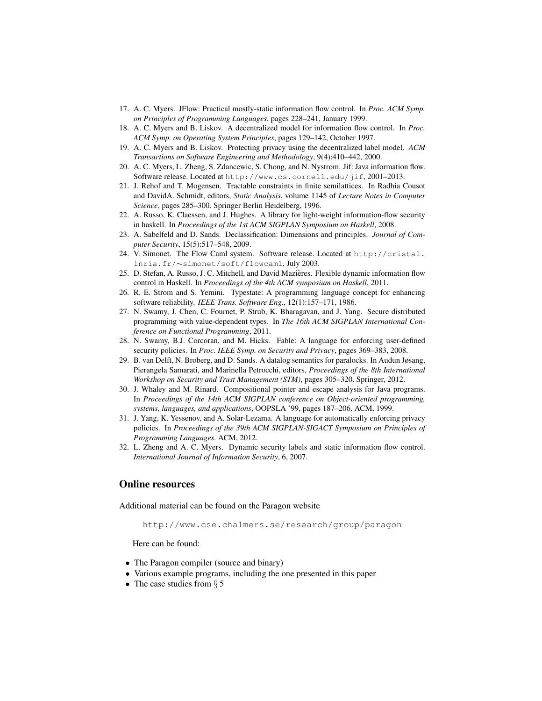- <span id="page-15-1"></span>17. A. C. Myers. JFlow: Practical mostly-static information flow control. In *Proc. ACM Symp. on Principles of Programming Languages*, pages 228–241, January 1999.
- <span id="page-15-3"></span>18. A. C. Myers and B. Liskov. A decentralized model for information flow control. In *Proc. ACM Symp. on Operating System Principles*, pages 129–142, October 1997.
- <span id="page-15-4"></span>19. A. C. Myers and B. Liskov. Protecting privacy using the decentralized label model. *ACM Transactions on Software Engineering and Methodology*, 9(4):410–442, 2000.
- <span id="page-15-2"></span>20. A. C. Myers, L. Zheng, S. Zdancewic, S. Chong, and N. Nystrom. Jif: Java information flow. Software release. Located at http://www.cs.cornell.edu/jif, 2001–2013.
- <span id="page-15-9"></span>21. J. Rehof and T. Mogensen. Tractable constraints in finite semilattices. In Radhia Cousot and DavidA. Schmidt, editors, *Static Analysis*, volume 1145 of *Lecture Notes in Computer Science*, pages 285–300. Springer Berlin Heidelberg, 1996.
- <span id="page-15-12"></span>22. A. Russo, K. Claessen, and J. Hughes. A library for light-weight information-flow security in haskell. In *Proceedings of the 1st ACM SIGPLAN Symposium on Haskell*, 2008.
- <span id="page-15-5"></span>23. A. Sabelfeld and D. Sands. Declassification: Dimensions and principles. *Journal of Computer Security*, 15(5):517–548, 2009.
- <span id="page-15-0"></span>24. V. Simonet. The Flow Caml system. Software release. Located at http://cristal. inria.fr/∼simonet/soft/flowcaml, July 2003.
- <span id="page-15-10"></span>25. D. Stefan, A. Russo, J. C. Mitchell, and David Mazieres. Flexible dynamic information flow ` control in Haskell. In *Proceedings of the 4th ACM symposium on Haskell*, 2011.
- <span id="page-15-15"></span>26. R. E. Strom and S. Yemini. Typestate: A programming language concept for enhancing software reliability. *IEEE Trans. Software Eng.*, 12(1):157–171, 1986.
- <span id="page-15-14"></span>27. N. Swamy, J. Chen, C. Fournet, P. Strub, K. Bharagavan, and J. Yang. Secure distributed programming with value-dependent types. In *The 16th ACM SIGPLAN International Conference on Functional Programming*, 2011.
- <span id="page-15-13"></span>28. N. Swamy, B.J. Corcoran, and M. Hicks. Fable: A language for enforcing user-defined security policies. In *Proc. IEEE Symp. on Security and Privacy*, pages 369–383, 2008.
- <span id="page-15-6"></span>29. B. van Delft, N. Broberg, and D. Sands. A datalog semantics for paralocks. In Audun Jøsang, Pierangela Samarati, and Marinella Petrocchi, editors, *Proceedings of the 8th International Workshop on Security and Trust Management (STM)*, pages 305–320. Springer, 2012.
- <span id="page-15-7"></span>30. J. Whaley and M. Rinard. Compositional pointer and escape analysis for Java programs. In *Proceedings of the 14th ACM SIGPLAN conference on Object-oriented programming, systems, languages, and applications*, OOPSLA '99, pages 187–206. ACM, 1999.
- <span id="page-15-11"></span>31. J. Yang, K. Yessenov, and A. Solar-Lezama. A language for automatically enforcing privacy policies. In *Proceedings of the 39th ACM SIGPLAN-SIGACT Symposium on Principles of Programming Languages*. ACM, 2012.
- <span id="page-15-8"></span>32. L. Zheng and A. C. Myers. Dynamic security labels and static information flow control. *International Journal of Information Security*, 6, 2007.

### Online resources

Additional material can be found on the Paragon website

http://www.cse.chalmers.se/research/group/paragon

Here can be found:

- The Paragon compiler (source and binary)
- Various example programs, including the one presented in this paper
- The case studies from  $\S$  [5](#page-10-0)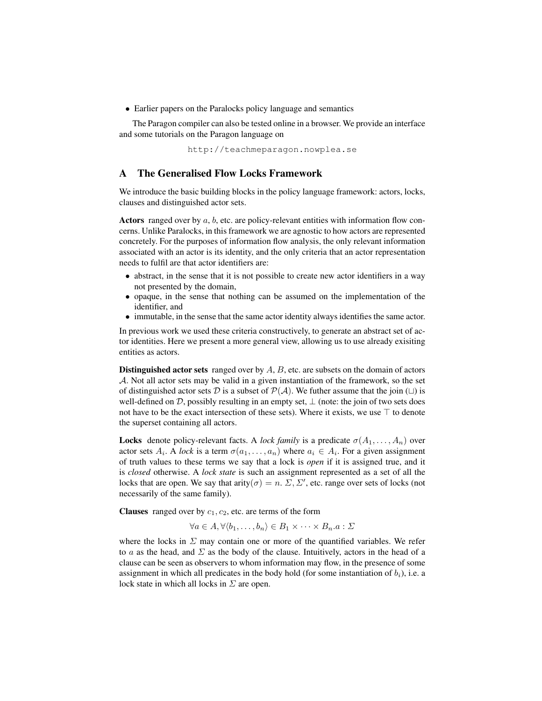• Earlier papers on the Paralocks policy language and semantics

The Paragon compiler can also be tested online in a browser. We provide an interface and some tutorials on the Paragon language on

http://teachmeparagon.nowplea.se

### A The Generalised Flow Locks Framework

We introduce the basic building blocks in the policy language framework: actors, locks, clauses and distinguished actor sets.

Actors ranged over by  $a, b$ , etc. are policy-relevant entities with information flow concerns. Unlike Paralocks, in this framework we are agnostic to how actors are represented concretely. For the purposes of information flow analysis, the only relevant information associated with an actor is its identity, and the only criteria that an actor representation needs to fulfil are that actor identifiers are:

- abstract, in the sense that it is not possible to create new actor identifiers in a way not presented by the domain,
- opaque, in the sense that nothing can be assumed on the implementation of the identifier, and
- immutable, in the sense that the same actor identity always identifies the same actor.

In previous work we used these criteria constructively, to generate an abstract set of actor identities. Here we present a more general view, allowing us to use already exisiting entities as actors.

Distinguished actor sets ranged over by  $A$ ,  $B$ , etc. are subsets on the domain of actors A. Not all actor sets may be valid in a given instantiation of the framework, so the set of distinguished actor sets D is a subset of  $\mathcal{P}(\mathcal{A})$ . We futher assume that the join ( $\Box$ ) is well-defined on D, possibly resulting in an empty set,  $\perp$  (note: the join of two sets does not have to be the exact intersection of these sets). Where it exists, we use  $\top$  to denote the superset containing all actors.

**Locks** denote policy-relevant facts. A *lock family* is a predicate  $\sigma(A_1, \ldots, A_n)$  over actor sets  $A_i$ . A *lock* is a term  $\sigma(a_1, \ldots, a_n)$  where  $a_i \in A_i$ . For a given assignment of truth values to these terms we say that a lock is *open* if it is assigned true, and it is *closed* otherwise. A *lock state* is such an assignment represented as a set of all the locks that are open. We say that arity $(\sigma) = n$ .  $\Sigma$ ,  $\Sigma'$ , etc. range over sets of locks (not necessarily of the same family).

**Clauses** ranged over by  $c_1$ ,  $c_2$ , etc. are terms of the form

 $\forall a \in A, \forall \langle b_1, \ldots, b_n \rangle \in B_1 \times \cdots \times B_n.a : \Sigma$ 

where the locks in  $\Sigma$  may contain one or more of the quantified variables. We refer to a as the head, and  $\Sigma$  as the body of the clause. Intuitively, actors in the head of a clause can be seen as observers to whom information may flow, in the presence of some assignment in which all predicates in the body hold (for some instantiation of  $b_i$ ), i.e. a lock state in which all locks in  $\Sigma$  are open.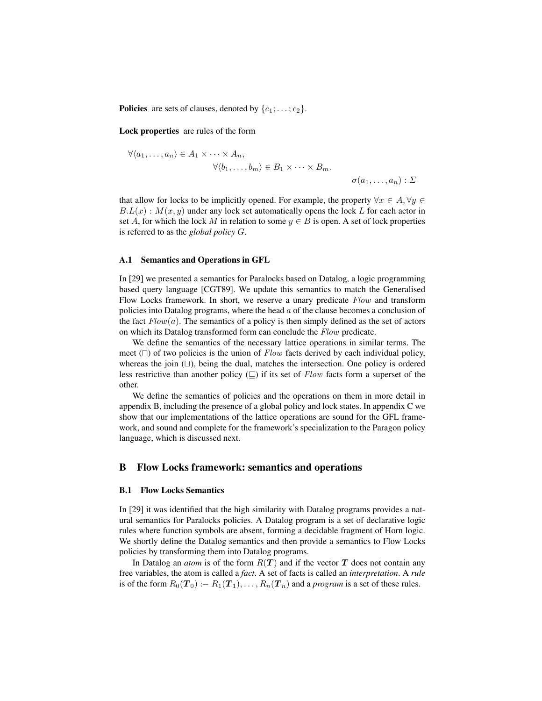**Policies** are sets of clauses, denoted by  $\{c_1; \ldots; c_2\}$ .

Lock properties are rules of the form

$$
\forall \langle a_1, \dots, a_n \rangle \in A_1 \times \dots \times A_n,
$$
  

$$
\forall \langle b_1, \dots, b_m \rangle \in B_1 \times \dots \times B_m.
$$
  

$$
\sigma(a_1, \dots, a_n) : \Sigma
$$

that allow for locks to be implicitly opened. For example, the property  $\forall x \in A, \forall y \in \mathcal{A}$  $B.L(x)$ :  $M(x, y)$  under any lock set automatically opens the lock L for each actor in set A, for which the lock M in relation to some  $y \in B$  is open. A set of lock properties is referred to as the *global policy* G.

#### A.1 Semantics and Operations in GFL

In [\[29\]](#page-15-6) we presented a semantics for Paralocks based on Datalog, a logic programming based query language [\[CGT89\]](#page-30-0). We update this semantics to match the Generalised Flow Locks framework. In short, we reserve a unary predicate Flow and transform policies into Datalog programs, where the head  $\alpha$  of the clause becomes a conclusion of the fact  $Flow(a)$ . The semantics of a policy is then simply defined as the set of actors on which its Datalog transformed form can conclude the Flow predicate.

We define the semantics of the necessary lattice operations in similar terms. The meet  $(\Box)$  of two policies is the union of *Flow* facts derived by each individual policy, whereas the join  $(L)$ , being the dual, matches the intersection. One policy is ordered less restrictive than another policy  $(\square)$  if its set of Flow facts form a superset of the other.

We define the semantics of policies and the operations on them in more detail in appendix [B,](#page-17-0) including the presence of a global policy and lock states. In appendix [C](#page-20-0) we show that our implementations of the lattice operations are sound for the GFL framework, and sound and complete for the framework's specialization to the Paragon policy language, which is discussed next.

# <span id="page-17-0"></span>B Flow Locks framework: semantics and operations

#### B.1 Flow Locks Semantics

In [\[29\]](#page-15-6) it was identified that the high similarity with Datalog programs provides a natural semantics for Paralocks policies. A Datalog program is a set of declarative logic rules where function symbols are absent, forming a decidable fragment of Horn logic. We shortly define the Datalog semantics and then provide a semantics to Flow Locks policies by transforming them into Datalog programs.

In Datalog an *atom* is of the form  $R(T)$  and if the vector T does not contain any free variables, the atom is called a *fact*. A set of facts is called an *interpretation*. A *rule* is of the form  $R_0(T_0) := R_1(T_1), \ldots, R_n(T_n)$  and a *program* is a set of these rules.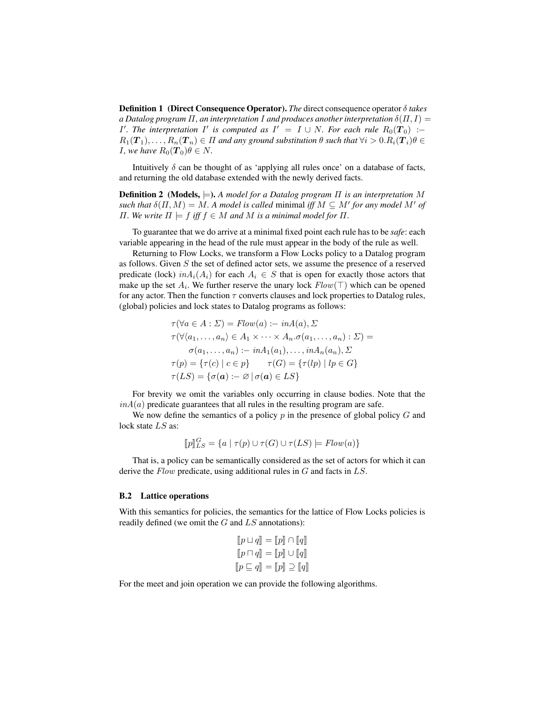Definition 1 (Direct Consequence Operator). *The* direct consequence operator δ *takes a Datalog program*  $\Pi$ , *an interpretation* I *and produces another interpretation*  $\delta(\Pi, I)$  = *I'.* The interpretation I' is computed as  $I' = I \cup N$ . For each rule  $R_0(T_0) :=$  $R_1(T_1), \ldots, R_n(T_n) \in \Pi$  and any ground substitution  $\theta$  such that  $\forall i > 0. R_i(T_i) \theta \in$ *I*, we have  $R_0(\mathbf{T}_0)\theta \in N$ .

Intuitively  $\delta$  can be thought of as 'applying all rules once' on a database of facts, and returning the old database extended with the newly derived facts.

Definition 2 (Models, |=). *A model for a Datalog program* Π *is an interpretation* M *such that*  $\delta(\Pi, M) = M$ . A model is called minimal iff  $M \subseteq M'$  for any model M' of  $\Pi$ *. We write*  $\Pi$   $\models$   $f$  *iff*  $f ∈ M$  *and*  $M$  *is a minimal model for*  $\Pi$ *.* 

To guarantee that we do arrive at a minimal fixed point each rule has to be *safe*: each variable appearing in the head of the rule must appear in the body of the rule as well.

Returning to Flow Locks, we transform a Flow Locks policy to a Datalog program as follows. Given  $S$  the set of defined actor sets, we assume the presence of a reserved predicate (lock)  $inA_i(A_i)$  for each  $A_i \in S$  that is open for exactly those actors that make up the set  $A_i$ . We further reserve the unary lock  $Flow(\top)$  which can be opened for any actor. Then the function  $\tau$  converts clauses and lock properties to Datalog rules, (global) policies and lock states to Datalog programs as follows:

$$
\tau(\forall a \in A : \Sigma) = Flow(a) := inA(a), \Sigma
$$
  

$$
\tau(\forall \langle a_1, \dots, a_n \rangle \in A_1 \times \dots \times A_n.\sigma(a_1, \dots, a_n) : \Sigma) =
$$
  

$$
\sigma(a_1, \dots, a_n) := inA_1(a_1), \dots, inA_n(a_n), \Sigma
$$
  

$$
\tau(p) = \{\tau(c) \mid c \in p\} \qquad \tau(G) = \{\tau(lp) \mid lp \in G\}
$$
  

$$
\tau(LS) = \{\sigma(a) := \emptyset \mid \sigma(a) \in LS\}
$$

For brevity we omit the variables only occurring in clause bodies. Note that the  $inA(a)$  predicate guarantees that all rules in the resulting program are safe.

We now define the semantics of a policy  $p$  in the presence of global policy  $G$  and lock state LS as:

$$
[\![p]\!]_{LS}^G = \{a \mid \tau(p) \cup \tau(G) \cup \tau(LS) \models Flow(a)\}
$$

That is, a policy can be semantically considered as the set of actors for which it can derive the Flow predicate, using additional rules in G and facts in LS.

#### B.2 Lattice operations

With this semantics for policies, the semantics for the lattice of Flow Locks policies is readily defined (we omit the  $G$  and  $LS$  annotations):

$$
\llbracket p \sqcup q \rrbracket = \llbracket p \rrbracket \cap \llbracket q \rrbracket
$$

$$
\llbracket p \sqcap q \rrbracket = \llbracket p \rrbracket \cup \llbracket q \rrbracket
$$

$$
\llbracket p \sqsubseteq q \rrbracket = \llbracket p \rrbracket \supseteq \llbracket q \rrbracket
$$

For the meet and join operation we can provide the following algorithms.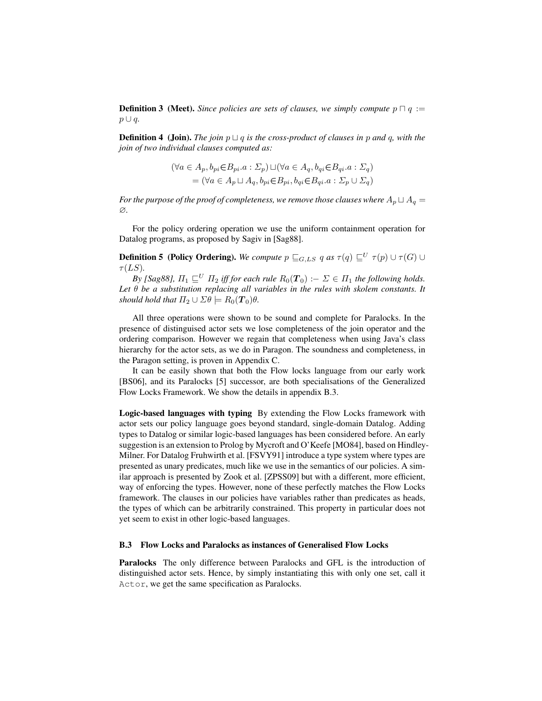**Definition 3 (Meet).** *Since policies are sets of clauses, we simply compute*  $p \sqcap q :=$ p ∪ q*.*

**Definition 4 (Join).** The join  $p \sqcup q$  is the cross-product of clauses in p and q, with the *join of two individual clauses computed as:*

$$
(\forall a \in A_p, b_{pi} \in B_{pi}.a : \Sigma_p) \sqcup (\forall a \in A_q, b_{qi} \in B_{qi}.a : \Sigma_q)
$$
  
= 
$$
(\forall a \in A_p \sqcup A_q, b_{pi} \in B_{pi}, b_{qi} \in B_{qi}.a : \Sigma_p \cup \Sigma_q)
$$

*For the purpose of the proof of completeness, we remove those clauses where*  $A_p \sqcup A_q =$ ∅*.*

For the policy ordering operation we use the uniform containment operation for Datalog programs, as proposed by Sagiv in [\[Sag88\]](#page-30-1).

<span id="page-19-1"></span>**Definition 5 (Policy Ordering).** *We compute*  $p \sqsubseteq_{G,LS} q$  *as*  $\tau(q) \sqsubseteq^U \tau(p) \cup \tau(G) \cup^U q$  $\tau(LS)$ .

*By [\[Sag88\]](#page-30-1),*  $\Pi_1 \sqsubseteq^U \Pi_2$  *iff for each rule*  $R_0(T_0) \coloneq \Sigma \in \Pi_1$  *the following holds. Let* θ *be a substitution replacing all variables in the rules with skolem constants. It should hold that*  $\Pi_2 \cup \Sigma \theta \models R_0(\mathbf{T}_0)\theta$ .

All three operations were shown to be sound and complete for Paralocks. In the presence of distinguised actor sets we lose completeness of the join operator and the ordering comparison. However we regain that completeness when using Java's class hierarchy for the actor sets, as we do in Paragon. The soundness and completeness, in the Paragon setting, is proven in Appendix [C.](#page-20-0)

It can be easily shown that both the Flow locks language from our early work [\[BS06\]](#page-30-2), and its Paralocks [\[5\]](#page-14-2) successor, are both specialisations of the Generalized Flow Locks Framework. We show the details in appendix [B.3.](#page-19-0)

Logic-based languages with typing By extending the Flow Locks framework with actor sets our policy language goes beyond standard, single-domain Datalog. Adding types to Datalog or similar logic-based languages has been considered before. An early suggestion is an extension to Prolog by Mycroft and O'Keefe [\[MO84\]](#page-30-3), based on Hindley-Milner. For Datalog Fruhwirth et al. [\[FSVY91\]](#page-30-4) introduce a type system where types are presented as unary predicates, much like we use in the semantics of our policies. A similar approach is presented by Zook et al. [\[ZPSS09\]](#page-30-5) but with a different, more efficient, way of enforcing the types. However, none of these perfectly matches the Flow Locks framework. The clauses in our policies have variables rather than predicates as heads, the types of which can be arbitrarily constrained. This property in particular does not yet seem to exist in other logic-based languages.

#### <span id="page-19-0"></span>B.3 Flow Locks and Paralocks as instances of Generalised Flow Locks

Paralocks The only difference between Paralocks and GFL is the introduction of distinguished actor sets. Hence, by simply instantiating this with only one set, call it Actor, we get the same specification as Paralocks.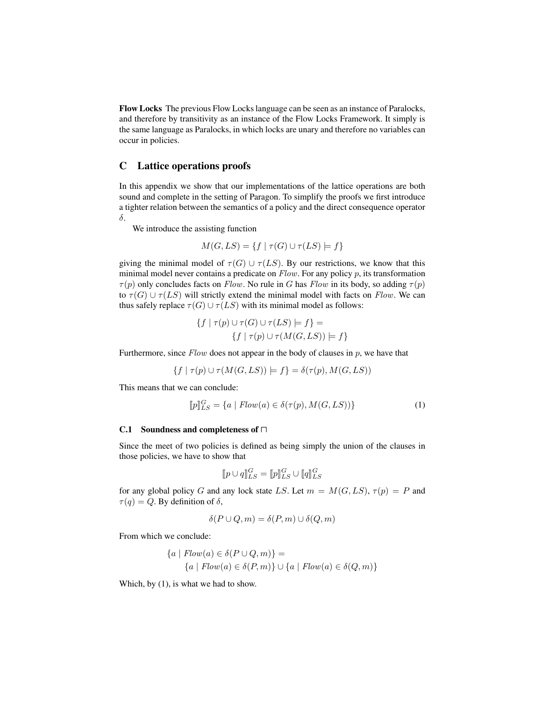Flow Locks The previous Flow Locks language can be seen as an instance of Paralocks, and therefore by transitivity as an instance of the Flow Locks Framework. It simply is the same language as Paralocks, in which locks are unary and therefore no variables can occur in policies.

# <span id="page-20-0"></span>C Lattice operations proofs

In this appendix we show that our implementations of the lattice operations are both sound and complete in the setting of Paragon. To simplify the proofs we first introduce a tighter relation between the semantics of a policy and the direct consequence operator δ.

We introduce the assisting function

$$
M(G, LS) = \{ f \mid \tau(G) \cup \tau(LS) \models f \}
$$

giving the minimal model of  $\tau(G) \cup \tau(LS)$ . By our restrictions, we know that this minimal model never contains a predicate on  $Flow$ . For any policy  $p$ , its transformation  $\tau(p)$  only concludes facts on Flow. No rule in G has Flow in its body, so adding  $\tau(p)$ to  $\tau(G) \cup \tau(LS)$  will strictly extend the minimal model with facts on Flow. We can thus safely replace  $\tau(G) \cup \tau(LS)$  with its minimal model as follows:

$$
\{f \mid \tau(p) \cup \tau(G) \cup \tau(LS) \models f\} =
$$
  

$$
\{f \mid \tau(p) \cup \tau(M(G, LS)) \models f\}
$$

Furthermore, since  $Flow$  does not appear in the body of clauses in  $p$ , we have that

$$
\{f \mid \tau(p) \cup \tau(M(G, LS)) \models f\} = \delta(\tau(p), M(G, LS))
$$

This means that we can conclude:

$$
[\![p]\!]_{LS}^G = \{a \mid Flow(a) \in \delta(\tau(p), M(G, LS))\} \tag{1}
$$

#### C.1 Soundness and completeness of  $\Box$

Since the meet of two policies is defined as being simply the union of the clauses in those policies, we have to show that

<span id="page-20-1"></span>
$$
[\![p \cup q]\!]_{LS}^G = [\![p]\!]_{LS}^G \cup [\![q]\!]_{LS}^G
$$

for any global policy G and any lock state LS. Let  $m = M(G, LS)$ ,  $\tau(p) = P$  and  $\tau(q) = Q$ . By definition of  $\delta$ ,

$$
\delta(P \cup Q, m) = \delta(P, m) \cup \delta(Q, m)
$$

From which we conclude:

$$
\{a \mid Flow(a) \in \delta(P \cup Q, m)\} =
$$

$$
\{a \mid Flow(a) \in \delta(P, m)\} \cup \{a \mid Flow(a) \in \delta(Q, m)\}\
$$

Which, by  $(1)$ , is what we had to show.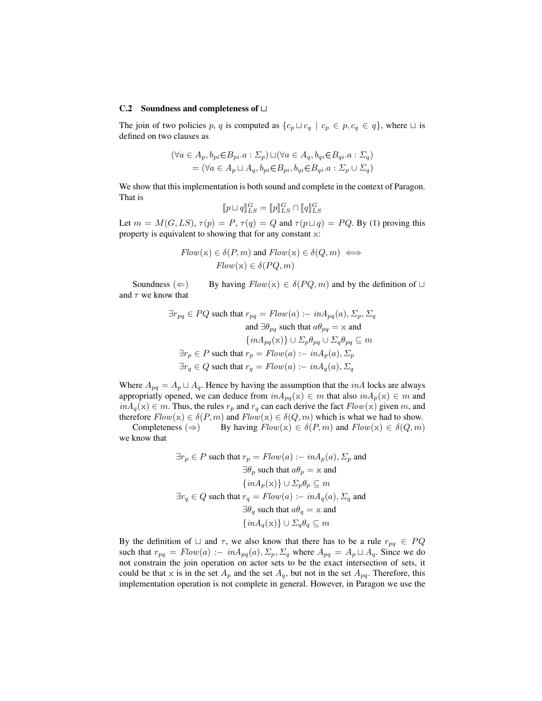#### C.2 Soundness and completeness of  $\Box$

The join of two policies p, q is computed as  $\{c_p \sqcup c_q \mid c_p \in p, c_q \in q\}$ , where  $\sqcup$  is defined on two clauses as

$$
(\forall a \in A_p, b_{pi} \in B_{pi}.a : \Sigma_p) \sqcup (\forall a \in A_q, b_{qi} \in B_{qi}.a : \Sigma_q)
$$
  
= 
$$
(\forall a \in A_p \sqcup A_q, b_{pi} \in B_{pi}, b_{qi} \in B_{qi}.a : \Sigma_p \cup \Sigma_q)
$$

We show that this implementation is both sound and complete in the context of Paragon. That is

$$
[\![p \sqcup q]\!]_{LS}^G = [\![p]\!]_{LS}^G \cap [\![q]\!]_{LS}^G
$$

Let  $m = M(G, LS)$ ,  $\tau(p) = P$ ,  $\tau(q) = Q$  and  $\tau(p \sqcup q) = PQ$ . By [\(1\)](#page-20-1) proving this property is equivalent to showing that for any constant x:

$$
Flow(x) \in \delta(P, m) \text{ and } Flow(x) \in \delta(Q, m) \iff
$$
  

$$
Flow(x) \in \delta(PQ, m)
$$

Soundness ( $\Leftarrow$ ) By having  $Flow(x) \in \delta(PQ, m)$  and by the definition of  $\sqcup$ and  $\tau$  we know that

$$
\exists r_{pq} \in PQ \text{ such that } r_{pq} = Flow(a) := inA_{pq}(a), \Sigma_p, \Sigma_q
$$
  
and 
$$
\exists \theta_{pq} \text{ such that } a\theta_{pq} = x \text{ and}
$$
  

$$
\{inA_{pq}(x)\} \cup \Sigma_p \theta_{pq} \cup \Sigma_q \theta_{pq} \subseteq m
$$
  

$$
\exists r_p \in P \text{ such that } r_p = Flow(a) := inA_p(a), \Sigma_p
$$
  

$$
\exists r_q \in Q \text{ such that } r_q = Flow(a) := inA_q(a), \Sigma_q
$$

Where  $A_{pq} = A_p \sqcup A_q$ . Hence by having the assumption that the *inA* locks are always appropriatly opened, we can deduce from  $inA_{pq}(x) \in m$  that also  $inA_p(x) \in m$  and  $inA_q(x) \in m$ . Thus, the rules  $r_p$  and  $r_q$  can each derive the fact  $Flow(x)$  given m, and therefore  $Flow(x) \in \delta(P, m)$  and  $Flow(x) \in \delta(Q, m)$  which is what we had to show.

Completeness  $(\Rightarrow)$  By having  $Flow(x) \in \delta(P, m)$  and  $Flow(x) \in \delta(Q, m)$ we know that

$$
\exists r_p \in P \text{ such that } r_p = Flow(a) := inA_p(a), \Sigma_p \text{ and}
$$

$$
\exists \theta_p \text{ such that } a\theta_p = x \text{ and}
$$

$$
\{inA_p(x)\} \cup \Sigma_p \theta_p \subseteq m
$$

$$
\exists r_q \in Q \text{ such that } r_q = Flow(a) := inA_q(a), \Sigma_q \text{ and}
$$

$$
\exists \theta_q \text{ such that } a\theta_q = x \text{ and}
$$

$$
\{inA_q(x)\} \cup \Sigma_q \theta_q \subseteq m
$$

By the definition of  $\Box$  and  $\tau$ , we also know that there has to be a rule  $r_{pq} \in PQ$ such that  $r_{pq} = Flow(a) := in_{pq}(a), \Sigma_p, \Sigma_q$  where  $A_{pq} = A_p \sqcup A_q$ . Since we do not constrain the join operation on actor sets to be the exact intersection of sets, it could be that x is in the set  $A_p$  and the set  $A_q$ , but not in the set  $A_{pq}$ . Therefore, this implementation operation is not complete in general. However, in Paragon we use the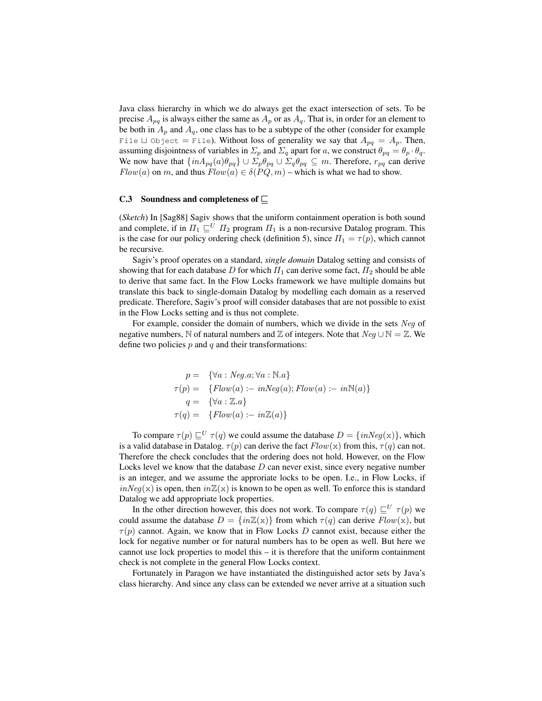Java class hierarchy in which we do always get the exact intersection of sets. To be precise  $A_{pq}$  is always either the same as  $A_p$  or as  $A_q$ . That is, in order for an element to be both in  $A_p$  and  $A_q$ , one class has to be a subtype of the other (consider for example File  $\Box$  Object = File). Without loss of generality we say that  $A_{pq} = A_p$ . Then, assuming disjointness of variables in  $\Sigma_p$  and  $\Sigma_q$  apart for a, we construct  $\theta_{pq} = \theta_p \cdot \theta_q$ . We now have that  $\{inA_{pq}(a)\theta_{pq}\}\cup\Sigma_p\theta_{pq}\cup\Sigma_q\theta_{pq}\subseteq m$ . Therefore,  $r_{pq}$  can derive  $Flow(a)$  on m, and thus  $Flow(a) \in \delta(PQ, m)$  – which is what we had to show.

### C.3 Soundness and completeness of  $\Box$

(*Sketch*) In [\[Sag88\]](#page-30-1) Sagiv shows that the uniform containment operation is both sound and complete, if in  $\Pi_1 \subseteq^U \Pi_2$  program  $\Pi_1$  is a non-recursive Datalog program. This is the case for our policy ordering check (definition [5\)](#page-19-1), since  $\Pi_1 = \tau(p)$ , which cannot be recursive.

Sagiv's proof operates on a standard, *single domain* Datalog setting and consists of showing that for each database D for which  $\Pi_1$  can derive some fact,  $\Pi_2$  should be able to derive that same fact. In the Flow Locks framework we have multiple domains but translate this back to single-domain Datalog by modelling each domain as a reserved predicate. Therefore, Sagiv's proof will consider databases that are not possible to exist in the Flow Locks setting and is thus not complete.

For example, consider the domain of numbers, which we divide in the sets Neg of negative numbers, N of natural numbers and  $\mathbb Z$  of integers. Note that  $Neg \cup \mathbb N = \mathbb Z$ . We define two policies  $p$  and  $q$  and their transformations:

$$
p = \{ \forall a : Neg.a; \forall a : \mathbb{N}.a \}
$$
  
\n
$$
\tau(p) = \{Flow(a) : -inNeg(a); Flow(a) : -in\mathbb{N}(a) \}
$$
  
\n
$$
q = \{ \forall a : \mathbb{Z}.a \}
$$
  
\n
$$
\tau(q) = \{Flow(a) : -in\mathbb{Z}(a) \}
$$

To compare  $\tau(p) \sqsubseteq^U \tau(q)$  we could assume the database  $D = \{inNeg(x)\}\$ , which is a valid database in Datalog.  $\tau(p)$  can derive the fact  $Flow(x)$  from this,  $\tau(q)$  can not. Therefore the check concludes that the ordering does not hold. However, on the Flow Locks level we know that the database  $D$  can never exist, since every negative number is an integer, and we assume the approriate locks to be open. I.e., in Flow Locks, if  $inNeg(x)$  is open, then  $in\mathbb{Z}(x)$  is known to be open as well. To enforce this is standard Datalog we add appropriate lock properties.

In the other direction however, this does not work. To compare  $\tau(q) \sqsubseteq^U \tau(p)$  we could assume the database  $D = \{in \mathbb{Z}(\mathbf{x})\}$  from which  $\tau(q)$  can derive  $Flow(\mathbf{x})$ , but  $\tau(p)$  cannot. Again, we know that in Flow Locks D cannot exist, because either the lock for negative number or for natural numbers has to be open as well. But here we cannot use lock properties to model this – it is therefore that the uniform containment check is not complete in the general Flow Locks context.

Fortunately in Paragon we have instantiated the distinguished actor sets by Java's class hierarchy. And since any class can be extended we never arrive at a situation such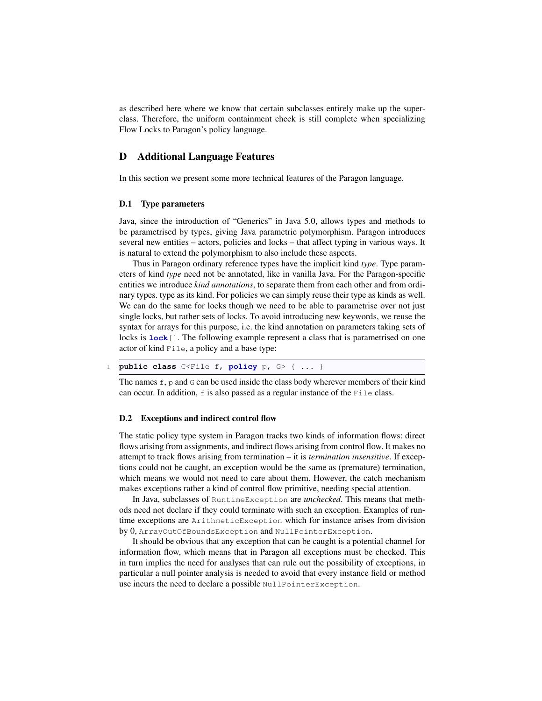as described here where we know that certain subclasses entirely make up the superclass. Therefore, the uniform containment check is still complete when specializing Flow Locks to Paragon's policy language.

# D Additional Language Features

In this section we present some more technical features of the Paragon language.

#### D.1 Type parameters

Java, since the introduction of "Generics" in Java 5.0, allows types and methods to be parametrised by types, giving Java parametric polymorphism. Paragon introduces several new entities – actors, policies and locks – that affect typing in various ways. It is natural to extend the polymorphism to also include these aspects.

Thus in Paragon ordinary reference types have the implicit kind *type*. Type parameters of kind *type* need not be annotated, like in vanilla Java. For the Paragon-specific entities we introduce *kind annotations*, to separate them from each other and from ordinary types. type as its kind. For policies we can simply reuse their type as kinds as well. We can do the same for locks though we need to be able to parametrise over not just single locks, but rather sets of locks. To avoid introducing new keywords, we reuse the syntax for arrays for this purpose, i.e. the kind annotation on parameters taking sets of locks is **lock**[]. The following example represent a class that is parametrised on one actor of kind File, a policy and a base type:

1 **public class** C<File f, **policy** p, G> { ... }

The names  $f$ , p and  $G$  can be used inside the class body wherever members of their kind can occur. In addition,  $f$  is also passed as a regular instance of the  $File$  class.

#### D.2 Exceptions and indirect control flow

The static policy type system in Paragon tracks two kinds of information flows: direct flows arising from assignments, and indirect flows arising from control flow. It makes no attempt to track flows arising from termination – it is *termination insensitive*. If exceptions could not be caught, an exception would be the same as (premature) termination, which means we would not need to care about them. However, the catch mechanism makes exceptions rather a kind of control flow primitive, needing special attention.

In Java, subclasses of RuntimeException are *unchecked*. This means that methods need not declare if they could terminate with such an exception. Examples of runtime exceptions are ArithmeticException which for instance arises from division by 0, ArrayOutOfBoundsException and NullPointerException.

It should be obvious that any exception that can be caught is a potential channel for information flow, which means that in Paragon all exceptions must be checked. This in turn implies the need for analyses that can rule out the possibility of exceptions, in particular a null pointer analysis is needed to avoid that every instance field or method use incurs the need to declare a possible NullPointerException.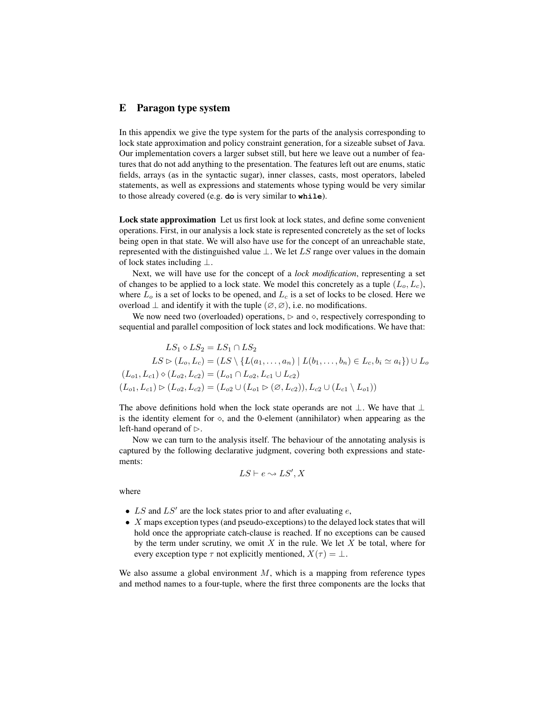# E Paragon type system

In this appendix we give the type system for the parts of the analysis corresponding to lock state approximation and policy constraint generation, for a sizeable subset of Java. Our implementation covers a larger subset still, but here we leave out a number of features that do not add anything to the presentation. The features left out are enums, static fields, arrays (as in the syntactic sugar), inner classes, casts, most operators, labeled statements, as well as expressions and statements whose typing would be very similar to those already covered (e.g. **do** is very similar to **while**).

Lock state approximation Let us first look at lock states, and define some convenient operations. First, in our analysis a lock state is represented concretely as the set of locks being open in that state. We will also have use for the concept of an unreachable state, represented with the distinguished value  $\perp$ . We let LS range over values in the domain of lock states including ⊥.

Next, we will have use for the concept of a *lock modification*, representing a set of changes to be applied to a lock state. We model this concretely as a tuple  $(L_o, L_c)$ , where  $L_o$  is a set of locks to be opened, and  $L_c$  is a set of locks to be closed. Here we overload  $\perp$  and identify it with the tuple  $(\emptyset, \emptyset)$ , i.e. no modifications.

We now need two (overloaded) operations,  $\triangleright$  and  $\diamond$ , respectively corresponding to sequential and parallel composition of lock states and lock modifications. We have that:

$$
LS_1 \diamond LS_2 = LS_1 \cap LS_2
$$
  
\n
$$
LS \triangleright (L_o, L_c) = (LS \setminus \{L(a_1, \dots, a_n) \mid L(b_1, \dots, b_n) \in L_c, b_i \simeq a_i\}) \cup L_o
$$
  
\n
$$
(L_{o1}, L_{c1}) \diamond (L_{o2}, L_{c2}) = (L_{o1} \cap L_{o2}, L_{c1} \cup L_{c2})
$$
  
\n
$$
(L_{o1}, L_{c1}) \triangleright (L_{o2}, L_{c2}) = (L_{o2} \cup (L_{o1} \triangleright (\varnothing, L_{c2})), L_{c2} \cup (L_{c1} \setminus L_{o1}))
$$

The above definitions hold when the lock state operands are not  $\bot$ . We have that  $\bot$ is the identity element for  $\diamond$ , and the 0-element (annihilator) when appearing as the left-hand operand of  $\triangleright$ .

Now we can turn to the analysis itself. The behaviour of the annotating analysis is captured by the following declarative judgment, covering both expressions and statements:

$$
LS \vdash e \leadsto LS', X
$$

where

- $LS$  and  $LS'$  are the lock states prior to and after evaluating  $e$ ,
- $X$  maps exception types (and pseudo-exceptions) to the delayed lock states that will hold once the appropriate catch-clause is reached. If no exceptions can be caused by the term under scrutiny, we omit  $X$  in the rule. We let  $X$  be total, where for every exception type  $\tau$  not explicitly mentioned,  $X(\tau) = \bot$ .

We also assume a global environment  $M$ , which is a mapping from reference types and method names to a four-tuple, where the first three components are the locks that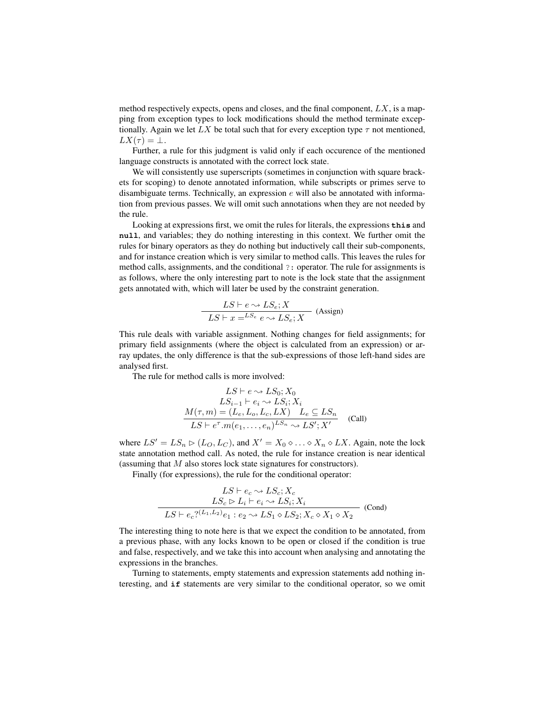method respectively expects, opens and closes, and the final component,  $LX$ , is a mapping from exception types to lock modifications should the method terminate exceptionally. Again we let  $LX$  be total such that for every exception type  $\tau$  not mentioned,  $LX(\tau) = \perp$ .

Further, a rule for this judgment is valid only if each occurence of the mentioned language constructs is annotated with the correct lock state.

We will consistently use superscripts (sometimes in conjunction with square brackets for scoping) to denote annotated information, while subscripts or primes serve to disambiguate terms. Technically, an expression  $e$  will also be annotated with information from previous passes. We will omit such annotations when they are not needed by the rule.

Looking at expressions first, we omit the rules for literals, the expressions **this** and **null**, and variables; they do nothing interesting in this context. We further omit the rules for binary operators as they do nothing but inductively call their sub-components, and for instance creation which is very similar to method calls. This leaves the rules for method calls, assignments, and the conditional ?: operator. The rule for assignments is as follows, where the only interesting part to note is the lock state that the assignment gets annotated with, which will later be used by the constraint generation.

$$
\frac{LS \vdash e \leadsto LS_e; X}{LS \vdash x =^{LS_e} e \leadsto LS_e; X}
$$
 (Assign)

This rule deals with variable assignment. Nothing changes for field assignments; for primary field assignments (where the object is calculated from an expression) or array updates, the only difference is that the sub-expressions of those left-hand sides are analysed first.

The rule for method calls is more involved:

$$
LS \vdash e \leadsto LS_0; X_0
$$
  
\n
$$
LS_{i-1} \vdash e_i \leadsto LS_i; X_i
$$
  
\n
$$
M(\tau, m) = (L_e, L_o, L_c, LX) \quad L_e \subseteq LS_n
$$
  
\n
$$
LS \vdash e^{\tau}.m(e_1, \ldots, e_n)^{LS_n} \leadsto LS'; X'
$$
 (Call)

where  $LS' = LS_n \triangleright (L_O, L_C)$ , and  $X' = X_0 \diamond \ldots \diamond X_n \diamond LX$ . Again, note the lock state annotation method call. As noted, the rule for instance creation is near identical (assuming that M also stores lock state signatures for constructors).

Finally (for expressions), the rule for the conditional operator:

$$
LS \vdash e_c \leadsto LS_c; X_c
$$

$$
LS_c \triangleright L_i \vdash e_i \leadsto LS_i; X_i
$$

$$
LS \vdash e_c ?^{(L_1, L_2)} e_1 : e_2 \leadsto LS_1 \diamond LS_2; X_c \diamond X_1 \diamond X_2
$$
 (Cond)

The interesting thing to note here is that we expect the condition to be annotated, from a previous phase, with any locks known to be open or closed if the condition is true and false, respectively, and we take this into account when analysing and annotating the expressions in the branches.

Turning to statements, empty statements and expression statements add nothing interesting, and **if** statements are very similar to the conditional operator, so we omit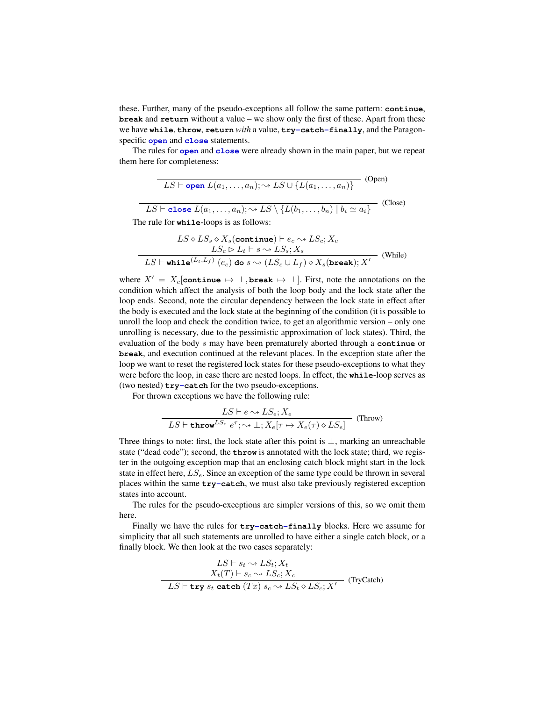these. Further, many of the pseudo-exceptions all follow the same pattern: **continue**, **break** and **return** without a value – we show only the first of these. Apart from these we have **while**, **throw**, **return** *with* a value, **try-catch-finally**, and the Paragonspecific **open** and **close** statements.

The rules for **open** and **close** were already shown in the main paper, but we repeat them here for completeness:

$$
\overline{LS \vdash \text{open } L(a_1, \ldots, a_n);} \rightsquigarrow LS \cup \{L(a_1, \ldots, a_n)\} \text{ (Open)}
$$
\n
$$
\overline{SL(1, \ldots, L)} \longleftarrow \overline{L(a_1, \ldots, a_n)} \text{ (Close)}
$$

LS  $\vdash$  **close**  $L(a_1, \ldots, a_n); \rightsquigarrow$  LS  $\setminus$  { $L(b_1, \ldots, b_n) \mid b_i \simeq a_i$ } The rule for **while**-loops is as follows:

$$
LS \diamond LS_s \diamond X_s(\text{continue}) \vdash e_c \sim LS_c; X_c
$$

$$
LS_c \rhd L_t \vdash s \sim LS_s; X_s
$$

$$
LS \vdash \text{while}^{(L_t, L_f)}(e_c) \text{ do } s \sim (LS_c \cup L_f) \diamond X_s(\text{break}); X'
$$
 (While)

where  $X' = X_c$ **continue**  $\mapsto \perp$ , **break**  $\mapsto \perp$ . First, note the annotations on the condition which affect the analysis of both the loop body and the lock state after the loop ends. Second, note the circular dependency between the lock state in effect after the body is executed and the lock state at the beginning of the condition (it is possible to unroll the loop and check the condition twice, to get an algorithmic version – only one unrolling is necessary, due to the pessimistic approximation of lock states). Third, the evaluation of the body s may have been prematurely aborted through a **continue** or **break**, and execution continued at the relevant places. In the exception state after the loop we want to reset the registered lock states for these pseudo-exceptions to what they were before the loop, in case there are nested loops. In effect, the **while**-loop serves as (two nested) **try-catch** for the two pseudo-exceptions.

For thrown exceptions we have the following rule:

 $\overline{\phantom{a}}$ 

$$
\frac{LS \vdash e \leadsto LS_e; X_e}{LS \vdash \text{throw}^{LS_e} \ e^{\tau}; \leadsto \bot; X_e[\tau \mapsto X_e(\tau) \diamond LS_e]} \quad \text{(Throw)}
$$

Three things to note: first, the lock state after this point is  $\perp$ , marking an unreachable state ("dead code"); second, the **throw** is annotated with the lock state; third, we register in the outgoing exception map that an enclosing catch block might start in the lock state in effect here,  $LS_e$ . Since an exception of the same type could be thrown in several places within the same **try-catch**, we must also take previously registered exception states into account.

The rules for the pseudo-exceptions are simpler versions of this, so we omit them here.

Finally we have the rules for **try-catch-finally** blocks. Here we assume for simplicity that all such statements are unrolled to have either a single catch block, or a finally block. We then look at the two cases separately:

$$
LS \vdash s_t \leadsto LS_t; X_t
$$

$$
X_t(T) \vdash s_c \leadsto LS_c; X_c
$$

$$
LS \vdash \text{try } s_t \text{ catch } (Tx) \ s_c \leadsto LS_t \diamond LS_c; X'
$$
 (TryCatch)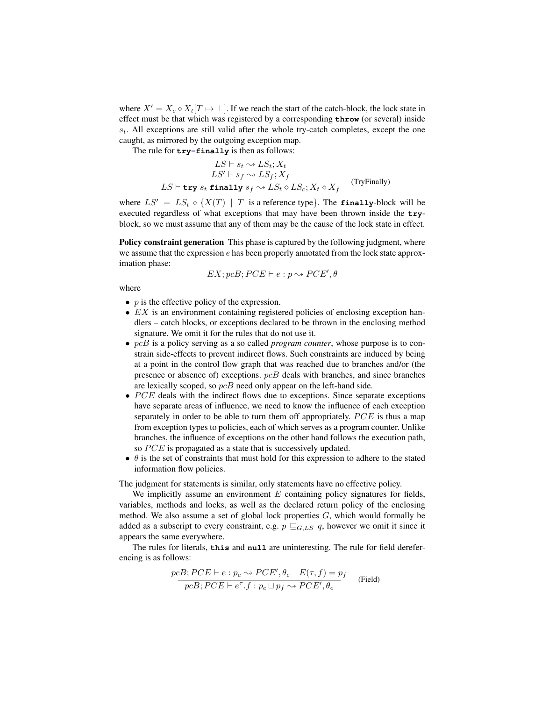where  $X' = X_c \diamond X_t[T \mapsto \bot]$ . If we reach the start of the catch-block, the lock state in effect must be that which was registered by a corresponding **throw** (or several) inside  $s_t$ . All exceptions are still valid after the whole try-catch completes, except the one caught, as mirrored by the outgoing exception map.

The rule for **try-finally** is then as follows:

$$
LS \vdash s_t \leadsto LS_t; X_t
$$
  
\n
$$
LS' \vdash s_f \leadsto LS_f; X_f
$$
  
\n
$$
LS \vdash \text{try } s_t \text{ finally } s_f \leadsto LS_t \diamond LS_c; X_t \diamond X_f
$$
 (TryFinally)

where  $LS' = LS_t \diamond \{X(T) | T \text{ is a reference type}\}.$  The **finally-block** will be executed regardless of what exceptions that may have been thrown inside the **try**block, so we must assume that any of them may be the cause of the lock state in effect.

Policy constraint generation This phase is captured by the following judgment, where we assume that the expression  $e$  has been properly annotated from the lock state approximation phase:

$$
EX; pcB; PCE \vdash e : p \leadsto PCE', \theta
$$

where

- $p$  is the effective policy of the expression.
- $\bullet$  EX is an environment containing registered policies of enclosing exception handlers – catch blocks, or exceptions declared to be thrown in the enclosing method signature. We omit it for the rules that do not use it.
- pcB is a policy serving as a so called *program counter*, whose purpose is to constrain side-effects to prevent indirect flows. Such constraints are induced by being at a point in the control flow graph that was reached due to branches and/or (the presence or absence of) exceptions. pcB deals with branches, and since branches are lexically scoped, so  $pcB$  need only appear on the left-hand side.
- $PCE$  deals with the indirect flows due to exceptions. Since separate exceptions have separate areas of influence, we need to know the influence of each exception separately in order to be able to turn them off appropriately.  $PCE$  is thus a map from exception types to policies, each of which serves as a program counter. Unlike branches, the influence of exceptions on the other hand follows the execution path, so  $PCE$  is propagated as a state that is successively updated.
- $\bullet$   $\theta$  is the set of constraints that must hold for this expression to adhere to the stated information flow policies.

The judgment for statements is similar, only statements have no effective policy.

We implicitly assume an environment  $E$  containing policy signatures for fields, variables, methods and locks, as well as the declared return policy of the enclosing method. We also assume a set of global lock properties  $G$ , which would formally be added as a subscript to every constraint, e.g.  $p \sqsubseteq_{G,LS} q$ , however we omit it since it appears the same everywhere.

The rules for literals, **this** and **null** are uninteresting. The rule for field dereferencing is as follows:

$$
\frac{pcB; PCE \vdash e : p_e \leadsto PCE', \theta_e \quad E(\tau, f) = p_f}{pcB; PCE \vdash e^{\tau}.f : p_e \sqcup p_f \leadsto PCE', \theta_e} \qquad \text{(Field)}
$$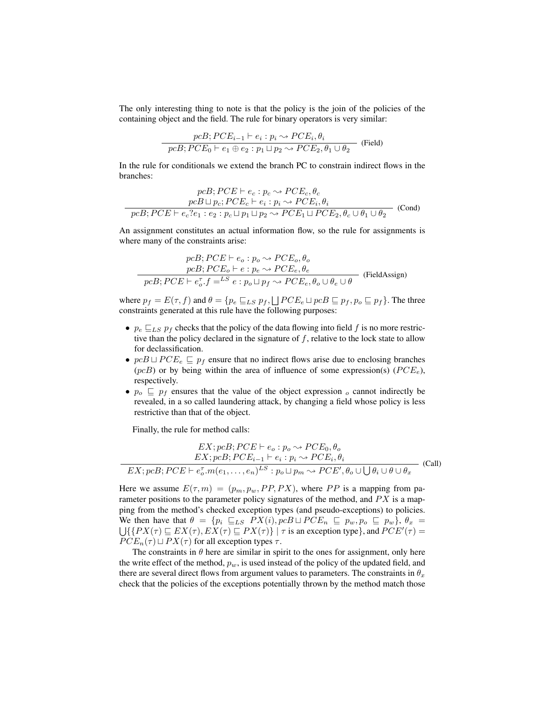The only interesting thing to note is that the policy is the join of the policies of the containing object and the field. The rule for binary operators is very similar:

$$
\frac{pcB; PCE_{i-1} \vdash e_i : p_i \rightsquigarrow PCE_i, \theta_i}{pcB; PCE_0 \vdash e_1 \oplus e_2 : p_1 \sqcup p_2 \rightsquigarrow PCE_2, \theta_1 \cup \theta_2}
$$
 (Field)

In the rule for conditionals we extend the branch PC to constrain indirect flows in the branches:

$$
pcB; PCE \vdash e_c : p_c \leadsto PCE_c, \theta_c
$$

$$
pcB \sqcup p_c; PCE_c \vdash e_i : p_i \leadsto PCE_i, \theta_i
$$

$$
pcB; PCE \vdash e_c?e_1 : e_2 : p_c \sqcup p_1 \sqcup p_2 \leadsto PCE_1 \sqcup PCE_2, \theta_c \cup \theta_1 \cup \theta_2
$$
 (Cond)

An assignment constitutes an actual information flow, so the rule for assignments is where many of the constraints arise:

$$
pcB; PCE \vdash e_o : p_o \leadsto PCE_o, \theta_o
$$
  
\n
$$
pcB; PCE_o \vdash e : p_e \leadsto PCE_e, \theta_e
$$
  
\n
$$
pcB; PCE \vdash e_o^{\tau}.f = {}^{LS} e : p_o \sqcup p_f \leadsto PCE_e, \theta_o \cup \theta_e \cup \theta
$$
 (FieldAssign)

where  $p_f = E(\tau, f)$  and  $\theta = \{p_e \sqsubseteq_{LS} p_f, \bigsqcup PCE_e \sqcup pcB \sqsubseteq p_f, p_o \sqsubseteq p_f\}$ . The three constraints generated at this rule have the following purposes:

- $p_e \sqsubseteq_{LS} p_f$  checks that the policy of the data flowing into field f is no more restrictive than the policy declared in the signature of  $f$ , relative to the lock state to allow for declassification.
- $pcB \sqcup PCE_e \sqsubseteq p_f$  ensure that no indirect flows arise due to enclosing branches  $(pcB)$  or by being within the area of influence of some expression(s)  $(PCE_e)$ , respectively.
- $p_o \nightharpoonup p_f$  ensures that the value of the object expression <sub>o</sub> cannot indirectly be revealed, in a so called laundering attack, by changing a field whose policy is less restrictive than that of the object.

Finally, the rule for method calls:

 $\overline{a}$ 

 $\overline{\phantom{0}}$ 

$$
EX; pcB; PCE \vdash e_o : p_o \rightsquigarrow PCE_0, \theta_o
$$
  
\n
$$
EX; pcB; PCE_{i-1} \vdash e_i : p_i \rightsquigarrow PCE_i, \theta_i
$$
  
\n
$$
EX; pcB; PCE \vdash e_o^{\tau}.m(e_1, \ldots, e_n)^{LS} : p_o \sqcup p_m \rightsquigarrow PCE', \theta_o \cup \bigcup \theta_i \cup \theta \cup \theta_x
$$
 (Call)

Here we assume  $E(\tau, m) = (p_m, p_w, PP, PX)$ , where PP is a mapping from parameter positions to the parameter policy signatures of the method, and  $PX$  is a mapping from the method's checked exception types (and pseudo-exceptions) to policies. We then have that  $\theta = \{p_i \subseteq_{LS} PX(i), pcB \sqcup PCE_n \subseteq p_w, p_o \subseteq p_w\}, \theta_x =$  $\bigcup \{ \{PX(\tau) \sqsubseteq EX(\tau), EX(\tau) \sqsubseteq PX(\tau) \} | \tau \text{ is an exception type} \}$ , and  $PCE'(\tau) =$  $PCE_n(\tau) \sqcup PX(\tau)$  for all exception types  $\tau$ .

The constraints in  $\theta$  here are similar in spirit to the ones for assignment, only here the write effect of the method,  $p_w$ , is used instead of the policy of the updated field, and there are several direct flows from argument values to parameters. The constraints in  $\theta_x$ check that the policies of the exceptions potentially thrown by the method match those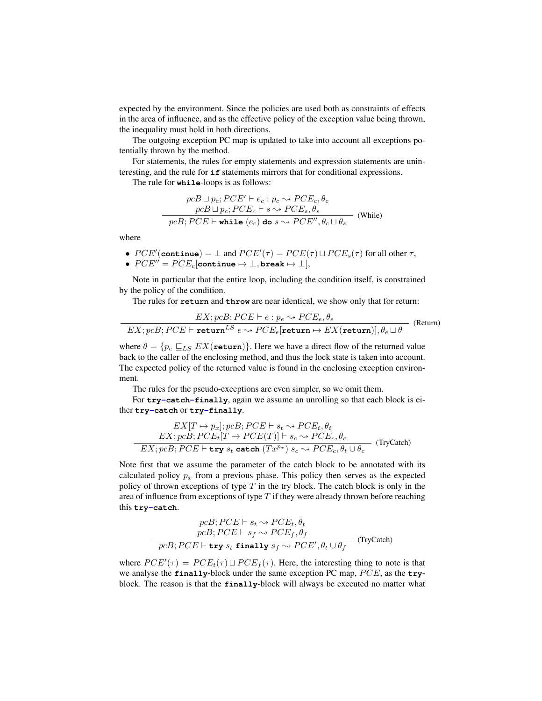expected by the environment. Since the policies are used both as constraints of effects in the area of influence, and as the effective policy of the exception value being thrown, the inequality must hold in both directions.

The outgoing exception PC map is updated to take into account all exceptions potentially thrown by the method.

For statements, the rules for empty statements and expression statements are uninteresting, and the rule for **if** statements mirrors that for conditional expressions.

The rule for **while**-loops is as follows:

$$
pcB \sqcup p_c; PCE' \vdash e_c : p_c \rightsquigarrow PCE_c, \theta_c
$$
  
\n
$$
pcB \sqcup p_c; PCE_c \vdash s \rightsquigarrow PCE_s, \theta_s
$$
  
\n
$$
pcB; PCE \vdash \text{while } (e_c) \text{ do } s \rightsquigarrow PCE'', \theta_c \sqcup \theta_s
$$
 (While)

where

 $\overline{\phantom{a}}$ 

 $\overline{a}$ 

- $PCE'$ (continue) =  $\perp$  and  $PCE'(\tau) = PCE(\tau) \sqcup PCE_s(\tau)$  for all other  $\tau$ ,
- $PCE'' = PCE_c$ [continue  $\mapsto \bot$ , break  $\mapsto \bot$ ],

Note in particular that the entire loop, including the condition itself, is constrained by the policy of the condition.

The rules for **return** and **throw** are near identical, we show only that for return:

$$
EX; pcB; PCE \vdash e : p_e \leadsto PCE_e, \theta_e
$$
  

$$
EX; pcB; PCE \vdash \texttt{return}^{LS} e \leadsto PCE_e[\texttt{return} \mapsto EX(\texttt{return})], \theta_e \sqcup \theta
$$
 (Return)

where  $\theta = \{p_e \sqsubseteq_{LS} EX(\text{return})\}$ . Here we have a direct flow of the returned value back to the caller of the enclosing method, and thus the lock state is taken into account. The expected policy of the returned value is found in the enclosing exception environment.

The rules for the pseudo-exceptions are even simpler, so we omit them.

For **try-catch-finally**, again we assume an unrolling so that each block is either **try-catch** or **try-finally**.

$$
EX[T \mapsto p_x]; pcB; PCE \vdash s_t \rightsquigarrow PCE_t, \theta_t
$$
  
\n
$$
EX; pcB; PCE_t[T \mapsto PCE(T)] \vdash s_c \rightsquigarrow PCE_c, \theta_c
$$
  
\n
$$
EX; pcB; PCE \vdash \text{try } s_t \text{ catch } (Tx^{p_x}) \ s_c \rightsquigarrow PCE_c, \theta_t \cup \theta_c
$$
 (TryCatch)

Note first that we assume the parameter of the catch block to be annotated with its calculated policy  $p_x$  from a previous phase. This policy then serves as the expected policy of thrown exceptions of type  $T$  in the try block. The catch block is only in the area of influence from exceptions of type  $T$  if they were already thrown before reaching this **try-catch**.

$$
pcB; PCE \vdash s_t \leadsto PCE_t, \theta_t
$$
  
\n
$$
pcB; PCE \vdash s_f \leadsto PCE_f, \theta_f
$$
  
\n
$$
pcB; PCE \vdash \text{try } s_t \text{ finally } s_f \leadsto PCE', \theta_t \cup \theta_f
$$
 (TryCatch)

where  $PCE'(\tau) = PCE_t(\tau) \sqcup PCE_f(\tau)$ . Here, the interesting thing to note is that we analyse the **finally-block** under the same exception PC map, PCE, as the **try**block. The reason is that the **finally**-block will always be executed no matter what